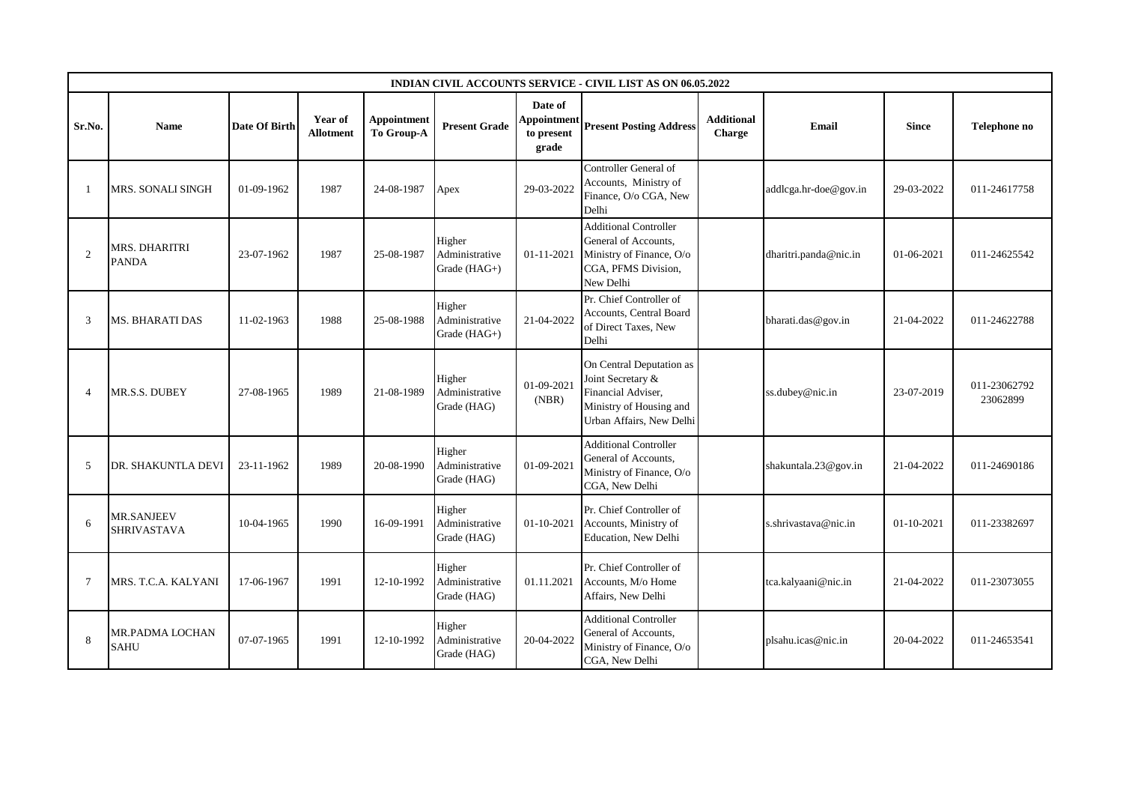|                          |                                         |               |                             |                                  |                                          |                                               | INDIAN CIVIL ACCOUNTS SERVICE - CIVIL LIST AS ON 06.05.2022                                                                |                             |                       |                  |                          |
|--------------------------|-----------------------------------------|---------------|-----------------------------|----------------------------------|------------------------------------------|-----------------------------------------------|----------------------------------------------------------------------------------------------------------------------------|-----------------------------|-----------------------|------------------|--------------------------|
| Sr.No.                   | <b>Name</b>                             | Date Of Birth | Year of<br><b>Allotment</b> | <b>Appointment</b><br>To Group-A | <b>Present Grade</b>                     | Date of<br>Appointment<br>to present<br>grade | <b>Present Posting Address</b>                                                                                             | <b>Additional</b><br>Charge | Email                 | <b>Since</b>     | Telephone no             |
|                          | <b>MRS. SONALI SINGH</b>                | 01-09-1962    | 1987                        | 24-08-1987                       | Apex                                     | 29-03-2022                                    | Controller General of<br>Accounts, Ministry of<br>Finance, O/o CGA, New<br>Delhi                                           |                             | addlcga.hr-doe@gov.in | 29-03-2022       | 011-24617758             |
| $\overline{2}$           | <b>MRS. DHARITRI</b><br><b>PANDA</b>    | 23-07-1962    | 1987                        | 25-08-1987                       | Higher<br>Administrative<br>Grade (HAG+) | 01-11-2021                                    | <b>Additional Controller</b><br>General of Accounts.<br>Ministry of Finance, O/o<br>CGA, PFMS Division,<br>New Delhi       |                             | dharitri.panda@nic.in | 01-06-2021       | 011-24625542             |
| 3                        | <b>MS. BHARATI DAS</b>                  | 11-02-1963    | 1988                        | 25-08-1988                       | Higher<br>Administrative<br>Grade (HAG+) | 21-04-2022                                    | Pr. Chief Controller of<br>Accounts, Central Board<br>of Direct Taxes, New<br>Delhi                                        |                             | bharati.das@gov.in    | 21-04-2022       | 011-24622788             |
| $\boldsymbol{\varDelta}$ | MR.S.S. DUBEY                           | 27-08-1965    | 1989                        | 21-08-1989                       | Higher<br>Administrative<br>Grade (HAG)  | 01-09-2021<br>(NBR)                           | On Central Deputation as<br>Joint Secretary &<br>Financial Adviser,<br>Ministry of Housing and<br>Urban Affairs, New Delhi |                             | ss.dubey@nic.in       | 23-07-2019       | 011-23062792<br>23062899 |
| 5                        | DR. SHAKUNTLA DEVI                      | 23-11-1962    | 1989                        | 20-08-1990                       | Higher<br>Administrative<br>Grade (HAG)  | 01-09-2021                                    | <b>Additional Controller</b><br>General of Accounts,<br>Ministry of Finance, O/o<br>CGA, New Delhi                         |                             | shakuntala.23@gov.in  | 21-04-2022       | 011-24690186             |
| 6                        | <b>MR.SANJEEV</b><br><b>SHRIVASTAVA</b> | 10-04-1965    | 1990                        | 16-09-1991                       | Higher<br>Administrative<br>Grade (HAG)  | 01-10-2021                                    | Pr. Chief Controller of<br>Accounts, Ministry of<br>Education, New Delhi                                                   |                             | s.shrivastava@nic.in  | $01 - 10 - 2021$ | 011-23382697             |
| $\tau$                   | MRS. T.C.A. KALYANI                     | 17-06-1967    | 1991                        | 12-10-1992                       | Higher<br>Administrative<br>Grade (HAG)  | 01.11.2021                                    | Pr. Chief Controller of<br>Accounts, M/o Home<br>Affairs, New Delhi                                                        |                             | tca.kalyaani@nic.in   | 21-04-2022       | 011-23073055             |
| 8                        | <b>MR.PADMA LOCHAN</b><br><b>SAHU</b>   | 07-07-1965    | 1991                        | 12-10-1992                       | Higher<br>Administrative<br>Grade (HAG)  | 20-04-2022                                    | <b>Additional Controller</b><br>General of Accounts,<br>Ministry of Finance, O/o<br>CGA, New Delhi                         |                             | plsahu.icas@nic.in    | 20-04-2022       | 011-24653541             |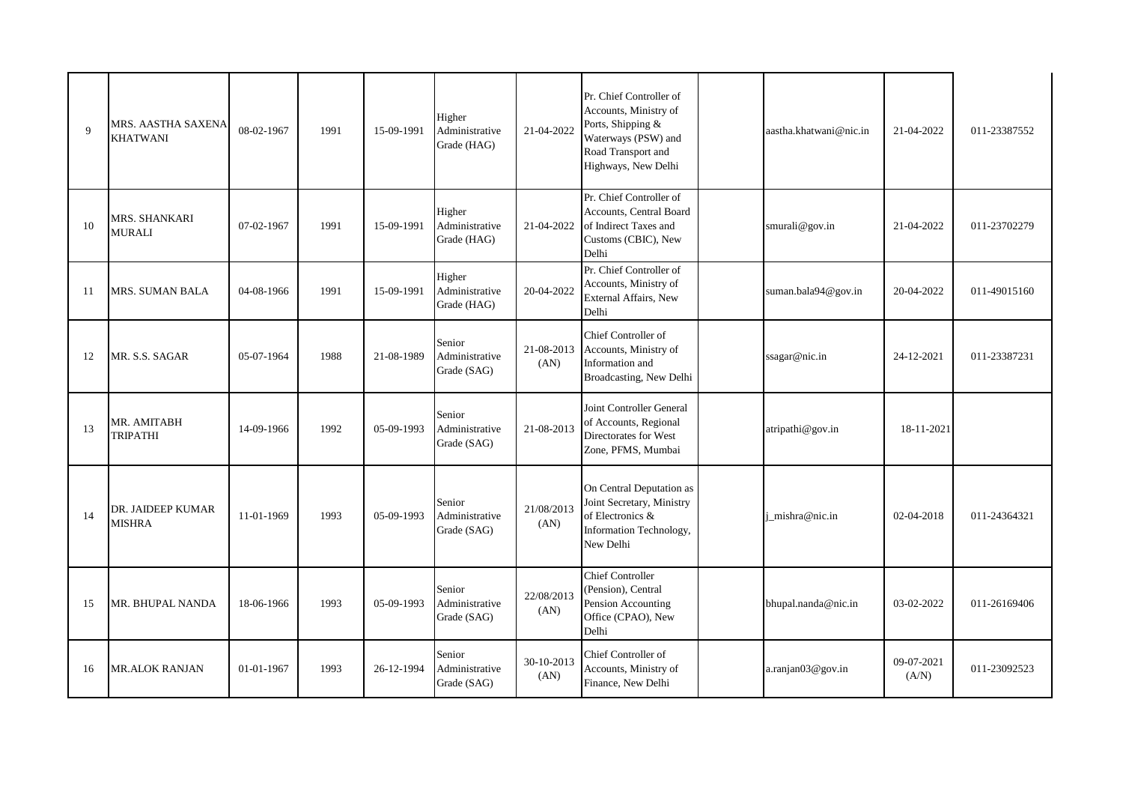| $\mathbf{Q}$ | MRS. AASTHA SAXENA<br><b>KHATWANI</b> | 08-02-1967 | 1991 | 15-09-1991 | Higher<br>Administrative<br>Grade (HAG) | 21-04-2022         | Pr. Chief Controller of<br>Accounts, Ministry of<br>Ports, Shipping &<br>Waterways (PSW) and<br>Road Transport and<br>Highways, New Delhi | aastha.khatwani@nic.in | 21-04-2022          | 011-23387552 |
|--------------|---------------------------------------|------------|------|------------|-----------------------------------------|--------------------|-------------------------------------------------------------------------------------------------------------------------------------------|------------------------|---------------------|--------------|
| 10           | MRS. SHANKARI<br><b>MURALI</b>        | 07-02-1967 | 1991 | 15-09-1991 | Higher<br>Administrative<br>Grade (HAG) | 21-04-2022         | Pr. Chief Controller of<br><b>Accounts, Central Board</b><br>of Indirect Taxes and<br>Customs (CBIC), New<br>Delhi                        | smurali@gov.in         | 21-04-2022          | 011-23702279 |
| 11           | MRS. SUMAN BALA                       | 04-08-1966 | 1991 | 15-09-1991 | Higher<br>Administrative<br>Grade (HAG) | 20-04-2022         | Pr. Chief Controller of<br>Accounts, Ministry of<br>External Affairs, New<br>Delhi                                                        | suman.bala94@gov.in    | 20-04-2022          | 011-49015160 |
| 12           | MR. S.S. SAGAR                        | 05-07-1964 | 1988 | 21-08-1989 | Senior<br>Administrative<br>Grade (SAG) | 21-08-2013<br>(AN) | Chief Controller of<br>Accounts, Ministry of<br>Information and<br>Broadcasting, New Delhi                                                | ssagar@nic.in          | 24-12-2021          | 011-23387231 |
| 13           | MR. AMITABH<br><b>TRIPATHI</b>        | 14-09-1966 | 1992 | 05-09-1993 | Senior<br>Administrative<br>Grade (SAG) | 21-08-2013         | Joint Controller General<br>of Accounts, Regional<br>Directorates for West<br>Zone, PFMS, Mumbai                                          | atripathi@gov.in       | 18-11-2021          |              |
| 14           | DR. JAIDEEP KUMAR<br><b>MISHRA</b>    | 11-01-1969 | 1993 | 05-09-1993 | Senior<br>Administrative<br>Grade (SAG) | 21/08/2013<br>(AN) | On Central Deputation as<br>Joint Secretary, Ministry<br>of Electronics &<br>Information Technology,<br>New Delhi                         | i mishra@nic.in        | 02-04-2018          | 011-24364321 |
| 15           | MR. BHUPAL NANDA                      | 18-06-1966 | 1993 | 05-09-1993 | Senior<br>Administrative<br>Grade (SAG) | 22/08/2013<br>(AN) | <b>Chief Controller</b><br>(Pension), Central<br>Pension Accounting<br>Office (CPAO), New<br>Delhi                                        | bhupal.nanda@nic.in    | 03-02-2022          | 011-26169406 |
| 16           | <b>MR.ALOK RANJAN</b>                 | 01-01-1967 | 1993 | 26-12-1994 | Senior<br>Administrative<br>Grade (SAG) | 30-10-2013<br>(AN) | Chief Controller of<br>Accounts, Ministry of<br>Finance, New Delhi                                                                        | a.ranjan03@gov.in      | 09-07-2021<br>(A/N) | 011-23092523 |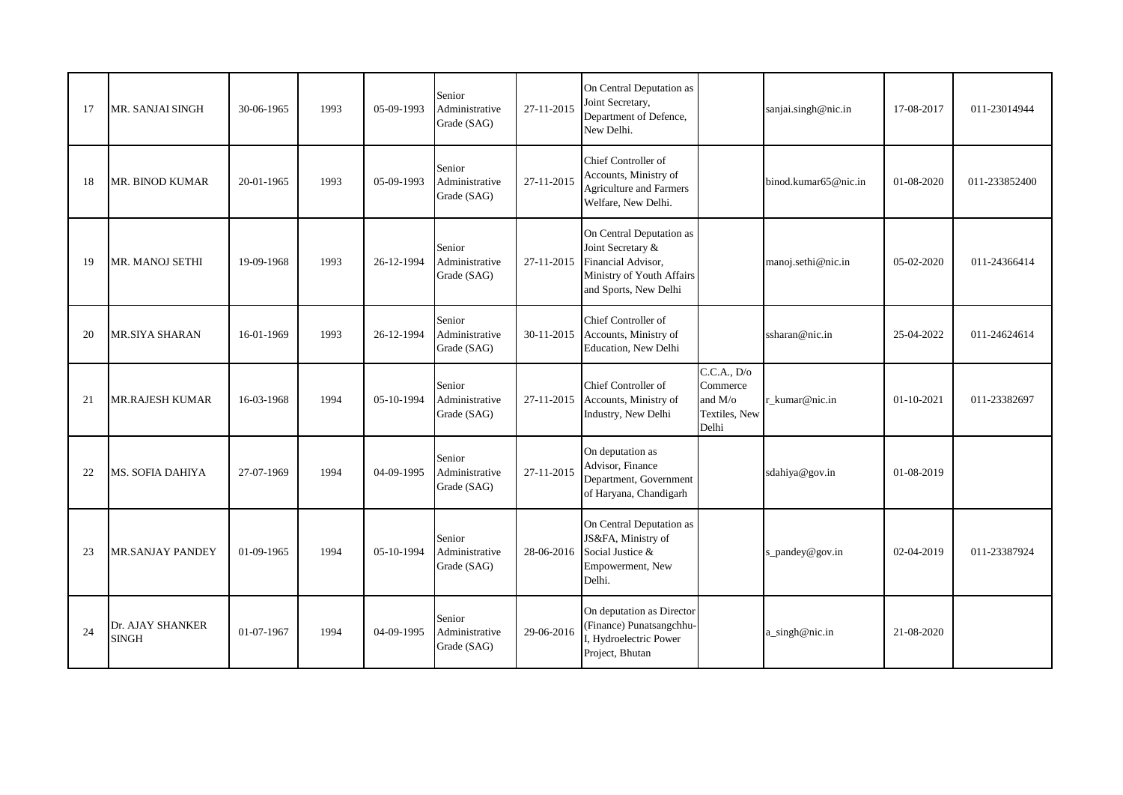| 17 | MR. SANJAI SINGH                 | 30-06-1965 | 1993 | 05-09-1993 | Senior<br>Administrative<br>Grade (SAG) | 27-11-2015 | On Central Deputation as<br>Joint Secretary,<br>Department of Defence,<br>New Delhi.                                      |                                                                         | sanjai.singh@nic.in  | 17-08-2017       | 011-23014944  |
|----|----------------------------------|------------|------|------------|-----------------------------------------|------------|---------------------------------------------------------------------------------------------------------------------------|-------------------------------------------------------------------------|----------------------|------------------|---------------|
| 18 | MR. BINOD KUMAR                  | 20-01-1965 | 1993 | 05-09-1993 | Senior<br>Administrative<br>Grade (SAG) | 27-11-2015 | Chief Controller of<br>Accounts, Ministry of<br><b>Agriculture and Farmers</b><br>Welfare, New Delhi.                     |                                                                         | binod.kumar65@nic.in | 01-08-2020       | 011-233852400 |
| 19 | MR. MANOJ SETHI                  | 19-09-1968 | 1993 | 26-12-1994 | Senior<br>Administrative<br>Grade (SAG) | 27-11-2015 | On Central Deputation as<br>Joint Secretary &<br>Financial Advisor,<br>Ministry of Youth Affairs<br>and Sports, New Delhi |                                                                         | manoj.sethi@nic.in   | 05-02-2020       | 011-24366414  |
| 20 | <b>MR.SIYA SHARAN</b>            | 16-01-1969 | 1993 | 26-12-1994 | Senior<br>Administrative<br>Grade (SAG) | 30-11-2015 | Chief Controller of<br>Accounts, Ministry of<br>Education, New Delhi                                                      |                                                                         | ssharan@nic.in       | 25-04-2022       | 011-24624614  |
| 21 | <b>MR.RAJESH KUMAR</b>           | 16-03-1968 | 1994 | 05-10-1994 | Senior<br>Administrative<br>Grade (SAG) | 27-11-2015 | Chief Controller of<br>Accounts, Ministry of<br>Industry, New Delhi                                                       | C.C.A., D/o<br>Commerce<br>and $M$ / $\sigma$<br>Textiles, New<br>Delhi | r kumar@nic.in       | $01 - 10 - 2021$ | 011-23382697  |
| 22 | MS. SOFIA DAHIYA                 | 27-07-1969 | 1994 | 04-09-1995 | Senior<br>Administrative<br>Grade (SAG) | 27-11-2015 | On deputation as<br>Advisor, Finance<br>Department, Government<br>of Haryana, Chandigarh                                  |                                                                         | sdahiya@gov.in       | 01-08-2019       |               |
| 23 | <b>MR.SANJAY PANDEY</b>          | 01-09-1965 | 1994 | 05-10-1994 | Senior<br>Administrative<br>Grade (SAG) | 28-06-2016 | On Central Deputation as<br>JS&FA, Ministry of<br>Social Justice &<br>Empowerment, New<br>Delhi.                          |                                                                         | s_pandey@gov.in      | 02-04-2019       | 011-23387924  |
| 24 | Dr. AJAY SHANKER<br><b>SINGH</b> | 01-07-1967 | 1994 | 04-09-1995 | Senior<br>Administrative<br>Grade (SAG) | 29-06-2016 | On deputation as Director<br>(Finance) Punatsangchhu-<br>I, Hydroelectric Power<br>Project, Bhutan                        |                                                                         | a_singh@nic.in       | 21-08-2020       |               |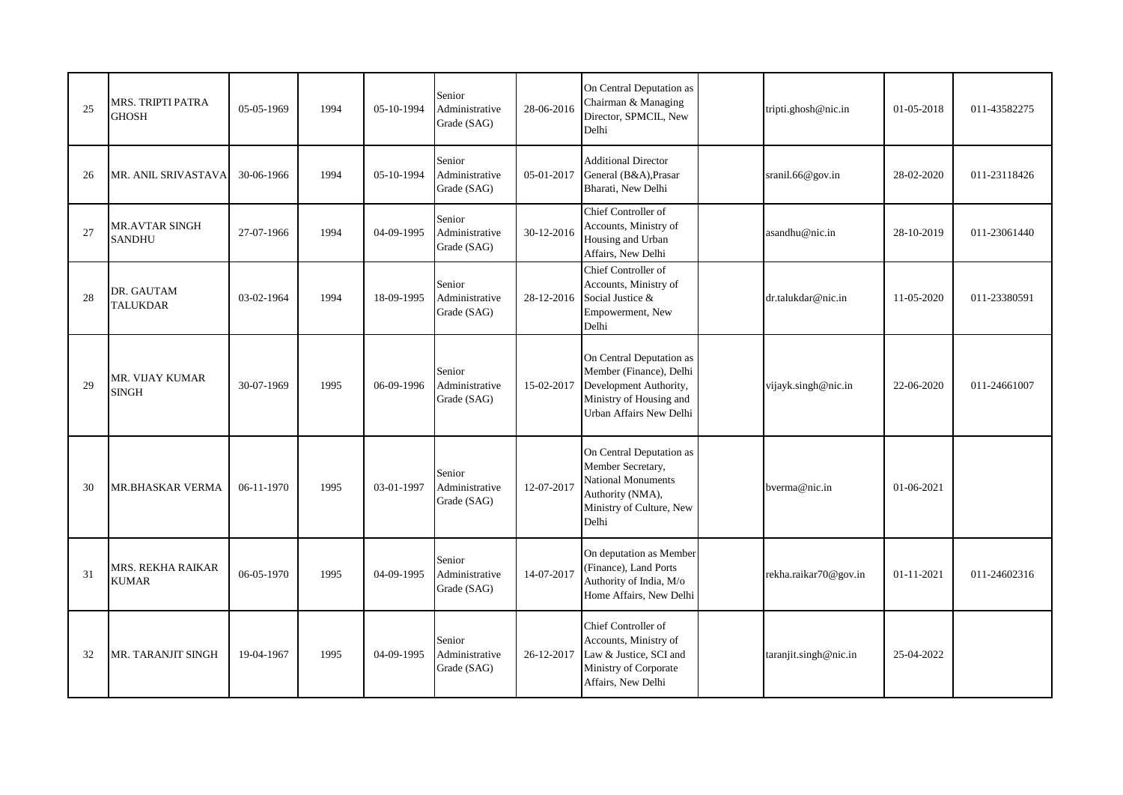| 25 | MRS. TRIPTI PATRA<br><b>GHOSH</b>      | 05-05-1969 | 1994 | 05-10-1994 | Senior<br>Administrative<br>Grade (SAG) | 28-06-2016 | On Central Deputation as<br>Chairman & Managing<br>Director, SPMCIL, New<br>Delhi                                                   | tripti.ghosh@nic.in   | 01-05-2018 | 011-43582275 |
|----|----------------------------------------|------------|------|------------|-----------------------------------------|------------|-------------------------------------------------------------------------------------------------------------------------------------|-----------------------|------------|--------------|
| 26 | MR. ANIL SRIVASTAVA                    | 30-06-1966 | 1994 | 05-10-1994 | Senior<br>Administrative<br>Grade (SAG) | 05-01-2017 | <b>Additional Director</b><br>General (B&A), Prasar<br>Bharati, New Delhi                                                           | sranil.66@gov.in      | 28-02-2020 | 011-23118426 |
| 27 | <b>MR.AVTAR SINGH</b><br><b>SANDHU</b> | 27-07-1966 | 1994 | 04-09-1995 | Senior<br>Administrative<br>Grade (SAG) | 30-12-2016 | Chief Controller of<br>Accounts, Ministry of<br>Housing and Urban<br>Affairs, New Delhi                                             | asandhu@nic.in        | 28-10-2019 | 011-23061440 |
| 28 | DR. GAUTAM<br><b>TALUKDAR</b>          | 03-02-1964 | 1994 | 18-09-1995 | Senior<br>Administrative<br>Grade (SAG) | 28-12-2016 | Chief Controller of<br>Accounts, Ministry of<br>Social Justice &<br>Empowerment, New<br>Delhi                                       | dr.talukdar@nic.in    | 11-05-2020 | 011-23380591 |
| 29 | MR. VIJAY KUMAR<br><b>SINGH</b>        | 30-07-1969 | 1995 | 06-09-1996 | Senior<br>Administrative<br>Grade (SAG) | 15-02-2017 | On Central Deputation as<br>Member (Finance), Delhi<br>Development Authority,<br>Ministry of Housing and<br>Urban Affairs New Delhi | vijayk.singh@nic.in   | 22-06-2020 | 011-24661007 |
| 30 | <b>MR.BHASKAR VERMA</b>                | 06-11-1970 | 1995 | 03-01-1997 | Senior<br>Administrative<br>Grade (SAG) | 12-07-2017 | On Central Deputation as<br>Member Secretary,<br>National Monuments<br>Authority (NMA),<br>Ministry of Culture, New<br>Delhi        | bverma@nic.in         | 01-06-2021 |              |
| 31 | MRS. REKHA RAIKAR<br><b>KUMAR</b>      | 06-05-1970 | 1995 | 04-09-1995 | Senior<br>Administrative<br>Grade (SAG) | 14-07-2017 | On deputation as Member<br>(Finance), Land Ports<br>Authority of India, M/o<br>Home Affairs, New Delhi                              | rekha.raikar70@gov.in | 01-11-2021 | 011-24602316 |
| 32 | MR. TARANJIT SINGH                     | 19-04-1967 | 1995 | 04-09-1995 | Senior<br>Administrative<br>Grade (SAG) | 26-12-2017 | Chief Controller of<br>Accounts, Ministry of<br>Law & Justice, SCI and<br>Ministry of Corporate<br>Affairs, New Delhi               | taranjit.singh@nic.in | 25-04-2022 |              |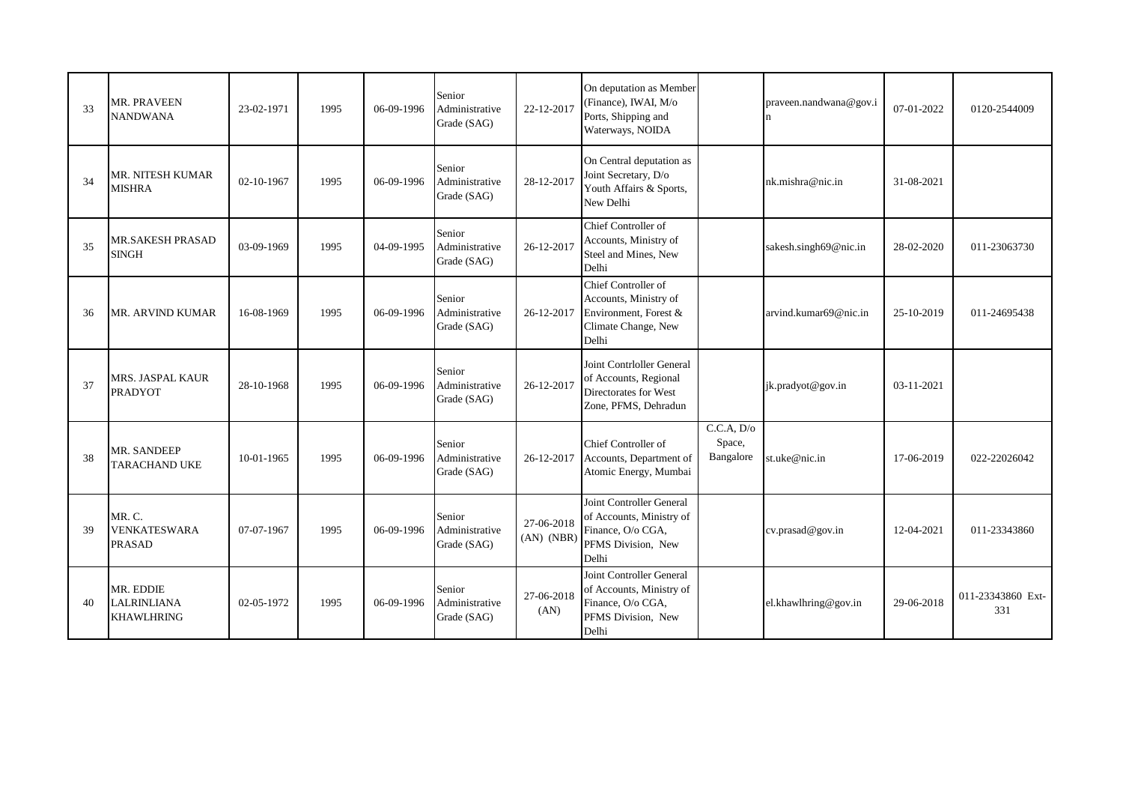| 33 | MR. PRAVEEN<br><b>NANDWANA</b>                       | 23-02-1971 | 1995 | 06-09-1996 | Senior<br>Administrative<br>Grade (SAG) | 22-12-2017                   | On deputation as Member<br>(Finance), IWAI, M/o<br>Ports, Shipping and<br>Waterways, NOIDA               |                                   | praveen.nandwana@gov.i<br>$\mathbf n$ | 07-01-2022 | 0120-2544009             |
|----|------------------------------------------------------|------------|------|------------|-----------------------------------------|------------------------------|----------------------------------------------------------------------------------------------------------|-----------------------------------|---------------------------------------|------------|--------------------------|
| 34 | <b>MR. NITESH KUMAR</b><br><b>MISHRA</b>             | 02-10-1967 | 1995 | 06-09-1996 | Senior<br>Administrative<br>Grade (SAG) | 28-12-2017                   | On Central deputation as<br>Joint Secretary, D/o<br>Youth Affairs & Sports,<br>New Delhi                 |                                   | nk.mishra@nic.in                      | 31-08-2021 |                          |
| 35 | <b>MR.SAKESH PRASAD</b><br><b>SINGH</b>              | 03-09-1969 | 1995 | 04-09-1995 | Senior<br>Administrative<br>Grade (SAG) | 26-12-2017                   | Chief Controller of<br>Accounts, Ministry of<br>Steel and Mines, New<br>Delhi                            |                                   | sakesh.singh69@nic.in                 | 28-02-2020 | 011-23063730             |
| 36 | MR. ARVIND KUMAR                                     | 16-08-1969 | 1995 | 06-09-1996 | Senior<br>Administrative<br>Grade (SAG) | 26-12-2017                   | Chief Controller of<br>Accounts, Ministry of<br>Environment, Forest &<br>Climate Change, New<br>Delhi    |                                   | arvind.kumar69@nic.in                 | 25-10-2019 | 011-24695438             |
| 37 | <b>MRS. JASPAL KAUR</b><br><b>PRADYOT</b>            | 28-10-1968 | 1995 | 06-09-1996 | Senior<br>Administrative<br>Grade (SAG) | 26-12-2017                   | Joint Contrloller General<br>of Accounts, Regional<br>Directorates for West<br>Zone, PFMS, Dehradun      |                                   | jk.pradyot@gov.in                     | 03-11-2021 |                          |
| 38 | MR. SANDEEP<br><b>TARACHAND UKE</b>                  | 10-01-1965 | 1995 | 06-09-1996 | Senior<br>Administrative<br>Grade (SAG) | 26-12-2017                   | Chief Controller of<br>Accounts, Department of<br>Atomic Energy, Mumbai                                  | C.C.A, D/o<br>Space,<br>Bangalore | st.uke@nic.in                         | 17-06-2019 | 022-22026042             |
| 39 | MR.C.<br><b>VENKATESWARA</b><br><b>PRASAD</b>        | 07-07-1967 | 1995 | 06-09-1996 | Senior<br>Administrative<br>Grade (SAG) | 27-06-2018<br>$(AN)$ $(NBR)$ | Joint Controller General<br>of Accounts, Ministry of<br>Finance, O/o CGA,<br>PFMS Division, New<br>Delhi |                                   | cv.prasad@gov.in                      | 12-04-2021 | 011-23343860             |
| 40 | MR. EDDIE<br><b>LALRINLIANA</b><br><b>KHAWLHRING</b> | 02-05-1972 | 1995 | 06-09-1996 | Senior<br>Administrative<br>Grade (SAG) | 27-06-2018<br>(AN)           | Joint Controller General<br>of Accounts, Ministry of<br>Finance, O/o CGA,<br>PFMS Division, New<br>Delhi |                                   | el.khawlhring@gov.in                  | 29-06-2018 | 011-23343860 Ext-<br>331 |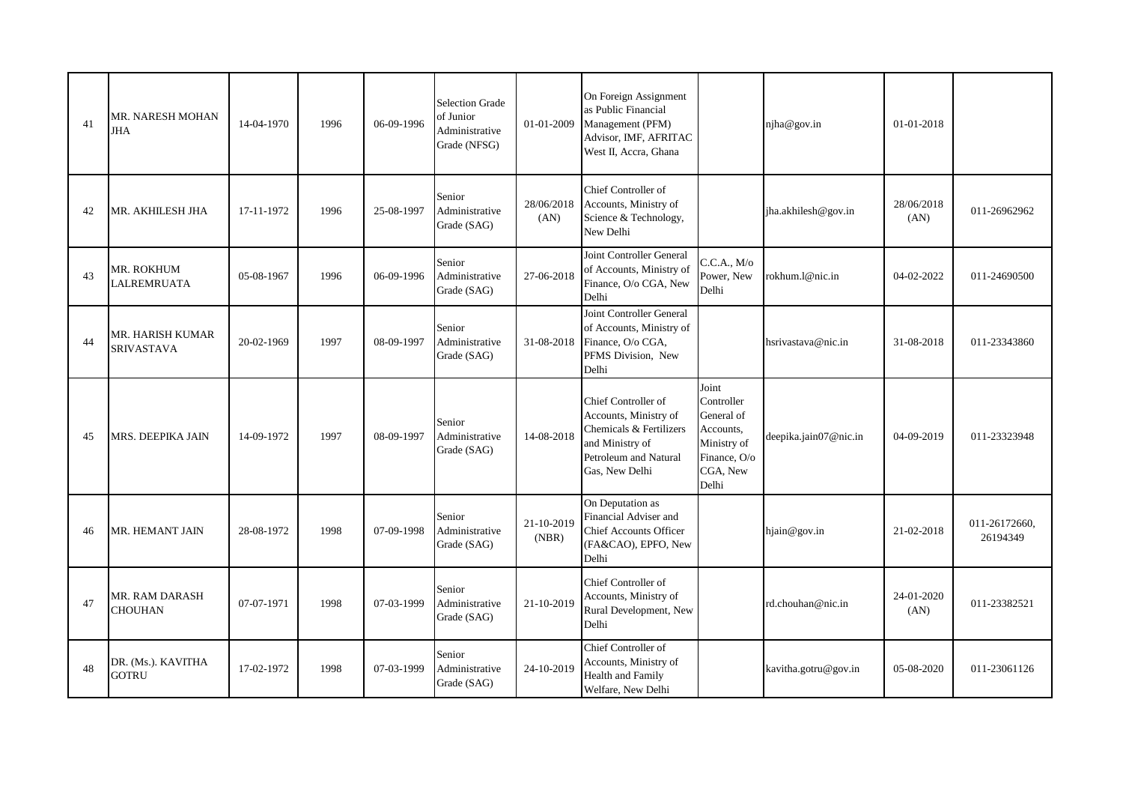| 41 | MR. NARESH MOHAN<br>JHA               | 14-04-1970 | 1996 | 06-09-1996 | <b>Selection Grade</b><br>of Junior<br>Administrative<br>Grade (NFSG) | 01-01-2009          | On Foreign Assignment<br>as Public Financial<br>Management (PFM)<br>Advisor, IMF, AFRITAC<br>West II, Accra, Ghana                    |                                                                                                    | njha@gov.in           | 01-01-2018         |                           |
|----|---------------------------------------|------------|------|------------|-----------------------------------------------------------------------|---------------------|---------------------------------------------------------------------------------------------------------------------------------------|----------------------------------------------------------------------------------------------------|-----------------------|--------------------|---------------------------|
| 42 | MR. AKHILESH JHA                      | 17-11-1972 | 1996 | 25-08-1997 | Senior<br>Administrative<br>Grade (SAG)                               | 28/06/2018<br>(AN)  | Chief Controller of<br>Accounts, Ministry of<br>Science & Technology,<br>New Delhi                                                    |                                                                                                    | jha.akhilesh@gov.in   | 28/06/2018<br>(AN) | 011-26962962              |
| 43 | MR. ROKHUM<br><b>LALREMRUATA</b>      | 05-08-1967 | 1996 | 06-09-1996 | Senior<br>Administrative<br>Grade (SAG)                               | 27-06-2018          | Joint Controller General<br>of Accounts, Ministry of<br>Finance, O/o CGA, New<br>Delhi                                                | C.C.A., M/o<br>Power, New<br>Delhi                                                                 | rokhum.1@nic.in       | 04-02-2022         | 011-24690500              |
| 44 | MR. HARISH KUMAR<br><b>SRIVASTAVA</b> | 20-02-1969 | 1997 | 08-09-1997 | Senior<br>Administrative<br>Grade (SAG)                               | 31-08-2018          | Joint Controller General<br>of Accounts, Ministry of<br>Finance, O/o CGA,<br>PFMS Division, New<br>Delhi                              |                                                                                                    | hsrivastava@nic.in    | 31-08-2018         | 011-23343860              |
| 45 | MRS. DEEPIKA JAIN                     | 14-09-1972 | 1997 | 08-09-1997 | Senior<br>Administrative<br>Grade (SAG)                               | 14-08-2018          | Chief Controller of<br>Accounts, Ministry of<br>Chemicals & Fertilizers<br>and Ministry of<br>Petroleum and Natural<br>Gas, New Delhi | Joint<br>Controller<br>General of<br>Accounts,<br>Ministry of<br>Finance, O/o<br>CGA, New<br>Delhi | deepika.jain07@nic.in | 04-09-2019         | 011-23323948              |
| 46 | <b>MR. HEMANT JAIN</b>                | 28-08-1972 | 1998 | 07-09-1998 | Senior<br>Administrative<br>Grade (SAG)                               | 21-10-2019<br>(NBR) | On Deputation as<br>Financial Adviser and<br><b>Chief Accounts Officer</b><br>(FA&CAO), EPFO, New<br>Delhi                            |                                                                                                    | hjain@gov.in          | 21-02-2018         | 011-26172660,<br>26194349 |
| 47 | MR. RAM DARASH<br><b>CHOUHAN</b>      | 07-07-1971 | 1998 | 07-03-1999 | Senior<br>Administrative<br>Grade (SAG)                               | 21-10-2019          | Chief Controller of<br>Accounts, Ministry of<br>Rural Development, New<br>Delhi                                                       |                                                                                                    | rd.chouhan@nic.in     | 24-01-2020<br>(AN) | 011-23382521              |
| 48 | DR. (Ms.). KAVITHA<br><b>GOTRU</b>    | 17-02-1972 | 1998 | 07-03-1999 | Senior<br>Administrative<br>Grade (SAG)                               | 24-10-2019          | Chief Controller of<br>Accounts, Ministry of<br><b>Health and Family</b><br>Welfare, New Delhi                                        |                                                                                                    | kavitha.gotru@gov.in  | 05-08-2020         | 011-23061126              |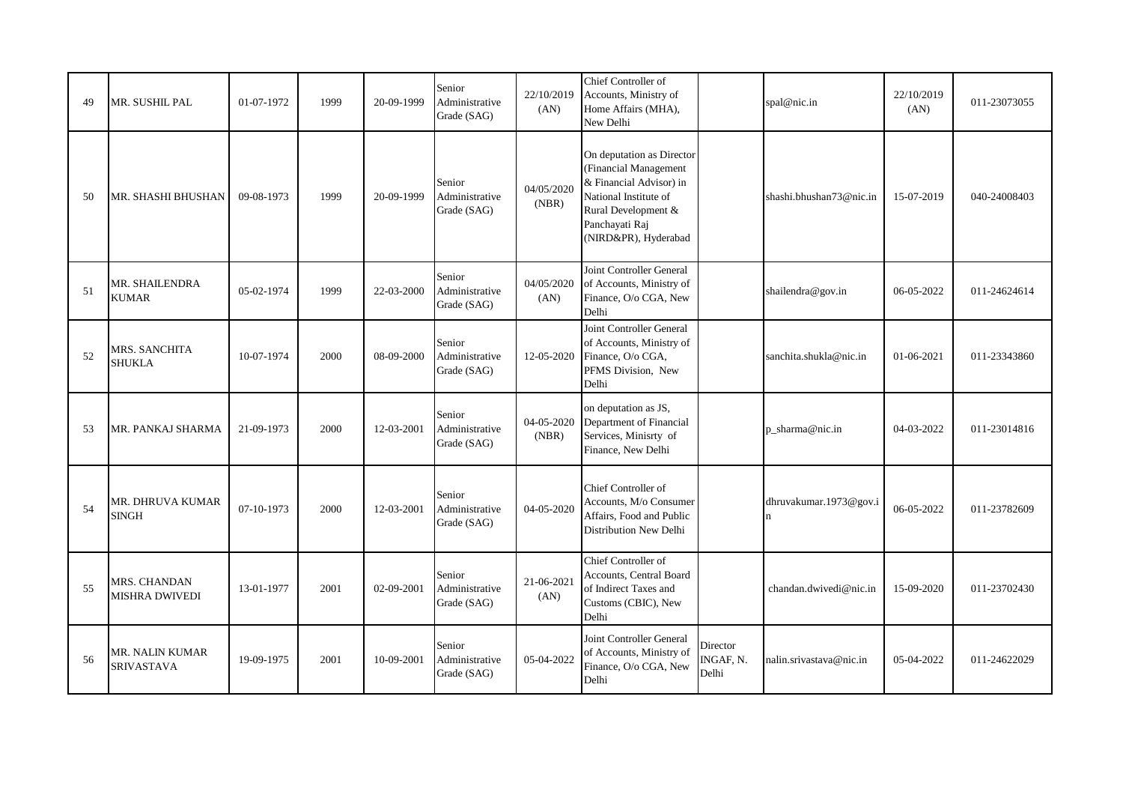| 49 | MR. SUSHIL PAL                       | 01-07-1972 | 1999 | 20-09-1999 | Senior<br>Administrative<br>Grade (SAG) | 22/10/2019<br>(AN)  | Chief Controller of<br>Accounts, Ministry of<br>Home Affairs (MHA),<br>New Delhi                                                                                        |                                | spal@nic.in                           | 22/10/2019<br>(AN) | 011-23073055 |
|----|--------------------------------------|------------|------|------------|-----------------------------------------|---------------------|-------------------------------------------------------------------------------------------------------------------------------------------------------------------------|--------------------------------|---------------------------------------|--------------------|--------------|
| 50 | MR. SHASHI BHUSHAN                   | 09-08-1973 | 1999 | 20-09-1999 | Senior<br>Administrative<br>Grade (SAG) | 04/05/2020<br>(NBR) | On deputation as Director<br>(Financial Management<br>& Financial Advisor) in<br>National Institute of<br>Rural Development &<br>Panchayati Raj<br>(NIRD&PR), Hyderabad |                                | shashi.bhushan73@nic.in               | 15-07-2019         | 040-24008403 |
| 51 | MR. SHAILENDRA<br><b>KUMAR</b>       | 05-02-1974 | 1999 | 22-03-2000 | Senior<br>Administrative<br>Grade (SAG) | 04/05/2020<br>(AN)  | Joint Controller General<br>of Accounts, Ministry of<br>Finance, O/o CGA, New<br>Delhi                                                                                  |                                | shailendra@gov.in                     | 06-05-2022         | 011-24624614 |
| 52 | MRS. SANCHITA<br><b>SHUKLA</b>       | 10-07-1974 | 2000 | 08-09-2000 | Senior<br>Administrative<br>Grade (SAG) | 12-05-2020          | Joint Controller General<br>of Accounts, Ministry of<br>Finance, O/o CGA,<br>PFMS Division, New<br>Delhi                                                                |                                | sanchita.shukla@nic.in                | 01-06-2021         | 011-23343860 |
| 53 | MR. PANKAJ SHARMA                    | 21-09-1973 | 2000 | 12-03-2001 | Senior<br>Administrative<br>Grade (SAG) | 04-05-2020<br>(NBR) | on deputation as JS,<br>Department of Financial<br>Services, Minisrty of<br>Finance, New Delhi                                                                          |                                | p_sharma@nic.in                       | 04-03-2022         | 011-23014816 |
| 54 | MR. DHRUVA KUMAR<br>SINGH            | 07-10-1973 | 2000 | 12-03-2001 | Senior<br>Administrative<br>Grade (SAG) | 04-05-2020          | Chief Controller of<br>Accounts, M/o Consumer<br>Affairs, Food and Public<br>Distribution New Delhi                                                                     |                                | dhruvakumar.1973@gov.i<br>$\mathbf n$ | 06-05-2022         | 011-23782609 |
| 55 | MRS. CHANDAN<br>MISHRA DWIVEDI       | 13-01-1977 | 2001 | 02-09-2001 | Senior<br>Administrative<br>Grade (SAG) | 21-06-2021<br>(AN)  | Chief Controller of<br>Accounts, Central Board<br>of Indirect Taxes and<br>Customs (CBIC), New<br>Delhi                                                                 |                                | chandan.dwivedi@nic.in                | 15-09-2020         | 011-23702430 |
| 56 | MR. NALIN KUMAR<br><b>SRIVASTAVA</b> | 19-09-1975 | 2001 | 10-09-2001 | Senior<br>Administrative<br>Grade (SAG) | 05-04-2022          | Joint Controller General<br>of Accounts, Ministry of<br>Finance, O/o CGA, New<br>Delhi                                                                                  | Director<br>INGAF, N.<br>Delhi | nalin.srivastava@nic.in               | 05-04-2022         | 011-24622029 |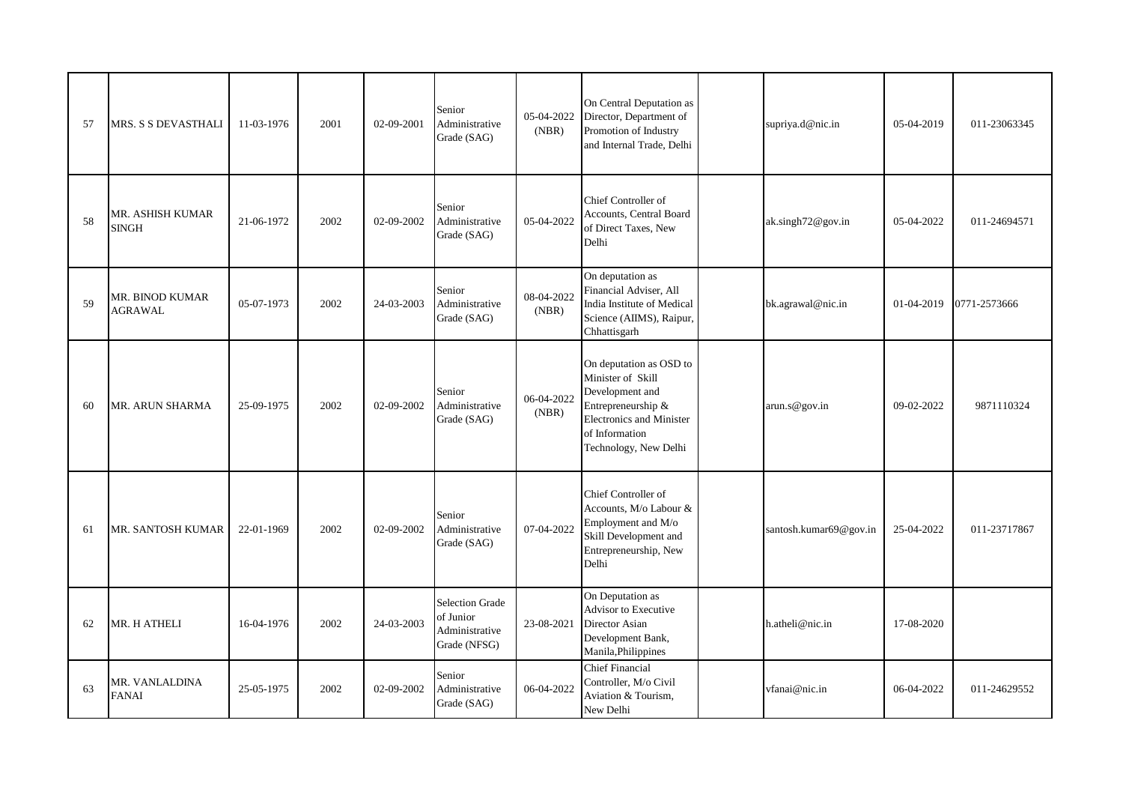| 57 | <b>MRS. S S DEVASTHALI</b>              | 11-03-1976 | 2001 | 02-09-2001 | Senior<br>Administrative<br>Grade (SAG)                        | 05-04-2022<br>(NBR) | On Central Deputation as<br>Director, Department of<br>Promotion of Industry<br>and Internal Trade, Delhi                                                           | supriya.d@nic.in       | 05-04-2019 | 011-23063345 |
|----|-----------------------------------------|------------|------|------------|----------------------------------------------------------------|---------------------|---------------------------------------------------------------------------------------------------------------------------------------------------------------------|------------------------|------------|--------------|
| 58 | <b>MR. ASHISH KUMAR</b><br><b>SINGH</b> | 21-06-1972 | 2002 | 02-09-2002 | Senior<br>Administrative<br>Grade (SAG)                        | 05-04-2022          | Chief Controller of<br>Accounts, Central Board<br>of Direct Taxes, New<br>Delhi                                                                                     | ak.singh72@gov.in      | 05-04-2022 | 011-24694571 |
| 59 | MR. BINOD KUMAR<br><b>AGRAWAL</b>       | 05-07-1973 | 2002 | 24-03-2003 | Senior<br>Administrative<br>Grade (SAG)                        | 08-04-2022<br>(NBR) | On deputation as<br>Financial Adviser, All<br>India Institute of Medical<br>Science (AIIMS), Raipur,<br>Chhattisgarh                                                | bk.agrawal@nic.in      | 01-04-2019 | 0771-2573666 |
| 60 | MR. ARUN SHARMA                         | 25-09-1975 | 2002 | 02-09-2002 | Senior<br>Administrative<br>Grade (SAG)                        | 06-04-2022<br>(NBR) | On deputation as OSD to<br>Minister of Skill<br>Development and<br>Entrepreneurship &<br><b>Electronics and Minister</b><br>of Information<br>Technology, New Delhi | arun.s@gov.in          | 09-02-2022 | 9871110324   |
| 61 | <b>MR. SANTOSH KUMAR</b>                | 22-01-1969 | 2002 | 02-09-2002 | Senior<br>Administrative<br>Grade (SAG)                        | 07-04-2022          | Chief Controller of<br>Accounts, M/o Labour &<br>Employment and M/o<br>Skill Development and<br>Entrepreneurship, New<br>Delhi                                      | santosh.kumar69@gov.in | 25-04-2022 | 011-23717867 |
| 62 | MR. H ATHELI                            | 16-04-1976 | 2002 | 24-03-2003 | Selection Grade<br>of Junior<br>Administrative<br>Grade (NFSG) | 23-08-2021          | On Deputation as<br>Advisor to Executive<br>Director Asian<br>Development Bank,<br>Manila, Philippines                                                              | h.atheli@nic.in        | 17-08-2020 |              |
| 63 | MR. VANLALDINA<br><b>FANAI</b>          | 25-05-1975 | 2002 | 02-09-2002 | Senior<br>Administrative<br>Grade (SAG)                        | 06-04-2022          | <b>Chief Financial</b><br>Controller, M/o Civil<br>Aviation & Tourism,<br>New Delhi                                                                                 | vfanai@nic.in          | 06-04-2022 | 011-24629552 |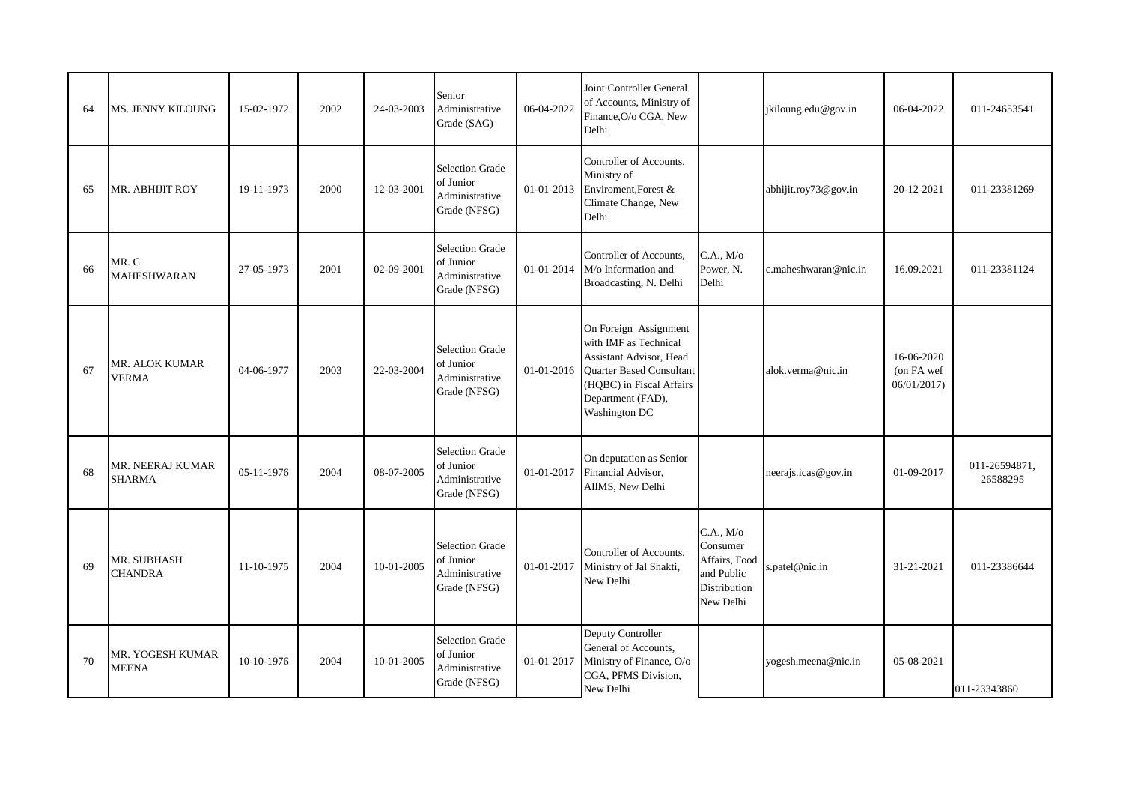| 64 | <b>MS. JENNY KILOUNG</b>                 | 15-02-1972 | 2002 | 24-03-2003 | Senior<br>Administrative<br>Grade (SAG)                               | 06-04-2022 | Joint Controller General<br>of Accounts, Ministry of<br>Finance, O/o CGA, New<br>Delhi                                                                                         |                                                                                   | jkiloung.edu@gov.in  | 06-04-2022                             | 011-24653541              |
|----|------------------------------------------|------------|------|------------|-----------------------------------------------------------------------|------------|--------------------------------------------------------------------------------------------------------------------------------------------------------------------------------|-----------------------------------------------------------------------------------|----------------------|----------------------------------------|---------------------------|
| 65 | MR. ABHIJIT ROY                          | 19-11-1973 | 2000 | 12-03-2001 | <b>Selection Grade</b><br>of Junior<br>Administrative<br>Grade (NFSG) | 01-01-2013 | Controller of Accounts.<br>Ministry of<br>Enviroment, Forest &<br>Climate Change, New<br>Delhi                                                                                 |                                                                                   | abhijit.roy73@gov.in | 20-12-2021                             | 011-23381269              |
| 66 | MR. C<br><b>MAHESHWARAN</b>              | 27-05-1973 | 2001 | 02-09-2001 | <b>Selection Grade</b><br>of Junior<br>Administrative<br>Grade (NFSG) | 01-01-2014 | Controller of Accounts,<br>M/o Information and<br>Broadcasting, N. Delhi                                                                                                       | C.A., M/o<br>Power, N.<br>Delhi                                                   | c.maheshwaran@nic.in | 16.09.2021                             | 011-23381124              |
| 67 | MR. ALOK KUMAR<br><b>VERMA</b>           | 04-06-1977 | 2003 | 22-03-2004 | <b>Selection Grade</b><br>of Junior<br>Administrative<br>Grade (NFSG) | 01-01-2016 | On Foreign Assignment<br>with IMF as Technical<br>Assistant Advisor, Head<br><b>Ouarter Based Consultant</b><br>(HQBC) in Fiscal Affairs<br>Department (FAD),<br>Washington DC |                                                                                   | alok.verma@nic.in    | 16-06-2020<br>(on FA wef<br>06/01/2017 |                           |
| 68 | <b>MR. NEERAJ KUMAR</b><br><b>SHARMA</b> | 05-11-1976 | 2004 | 08-07-2005 | <b>Selection Grade</b><br>of Junior<br>Administrative<br>Grade (NFSG) | 01-01-2017 | On deputation as Senior<br>Financial Advisor,<br>AIIMS, New Delhi                                                                                                              |                                                                                   | neerajs.icas@gov.in  | 01-09-2017                             | 011-26594871,<br>26588295 |
| 69 | MR. SUBHASH<br><b>CHANDRA</b>            | 11-10-1975 | 2004 | 10-01-2005 | <b>Selection Grade</b><br>of Junior<br>Administrative<br>Grade (NFSG) | 01-01-2017 | Controller of Accounts,<br>Ministry of Jal Shakti,<br>New Delhi                                                                                                                | C.A., M/o<br>Consumer<br>Affairs, Food<br>and Public<br>Distribution<br>New Delhi | s.patel@nic.in       | 31-21-2021                             | 011-23386644              |
| 70 | MR. YOGESH KUMAR<br><b>MEENA</b>         | 10-10-1976 | 2004 | 10-01-2005 | <b>Selection Grade</b><br>of Junior<br>Administrative<br>Grade (NFSG) | 01-01-2017 | Deputy Controller<br>General of Accounts,<br>Ministry of Finance, O/o<br>CGA, PFMS Division,<br>New Delhi                                                                      |                                                                                   | yogesh.meena@nic.in  | 05-08-2021                             | 011-23343860              |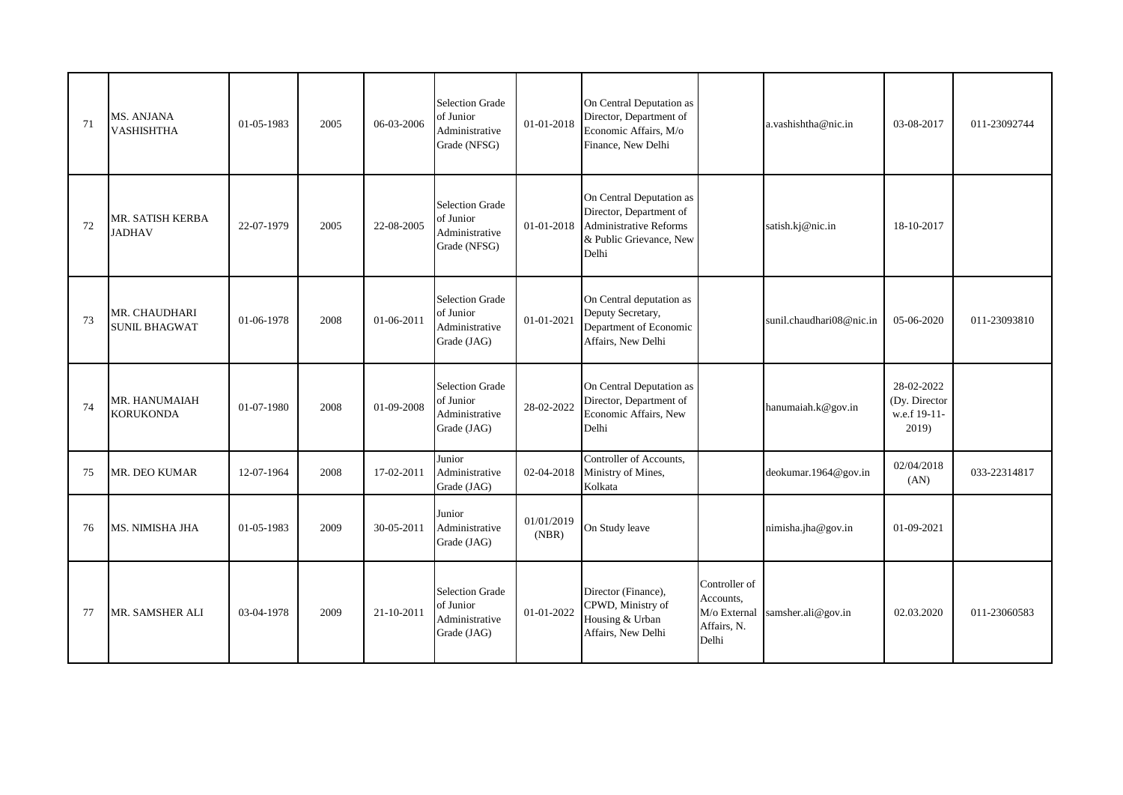| 71 | MS. ANJANA<br><b>VASHISHTHA</b>       | 01-05-1983 | 2005 | 06-03-2006 | <b>Selection Grade</b><br>of Junior<br>Administrative<br>Grade (NFSG) | 01-01-2018          | On Central Deputation as<br>Director, Department of<br>Economic Affairs, M/o<br>Finance, New Delhi                       |                                                                    | a.vashishtha@nic.in      | 03-08-2017                                           | 011-23092744 |
|----|---------------------------------------|------------|------|------------|-----------------------------------------------------------------------|---------------------|--------------------------------------------------------------------------------------------------------------------------|--------------------------------------------------------------------|--------------------------|------------------------------------------------------|--------------|
| 72 | MR. SATISH KERBA<br><b>JADHAV</b>     | 22-07-1979 | 2005 | 22-08-2005 | <b>Selection Grade</b><br>of Junior<br>Administrative<br>Grade (NFSG) | 01-01-2018          | On Central Deputation as<br>Director, Department of<br><b>Administrative Reforms</b><br>& Public Grievance, New<br>Delhi |                                                                    | satish.kj@nic.in         | 18-10-2017                                           |              |
| 73 | MR. CHAUDHARI<br><b>SUNIL BHAGWAT</b> | 01-06-1978 | 2008 | 01-06-2011 | <b>Selection Grade</b><br>of Junior<br>Administrative<br>Grade (JAG)  | 01-01-2021          | On Central deputation as<br>Deputy Secretary,<br>Department of Economic<br>Affairs, New Delhi                            |                                                                    | sunil.chaudhari08@nic.in | 05-06-2020                                           | 011-23093810 |
| 74 | MR. HANUMAIAH<br><b>KORUKONDA</b>     | 01-07-1980 | 2008 | 01-09-2008 | <b>Selection Grade</b><br>of Junior<br>Administrative<br>Grade (JAG)  | 28-02-2022          | On Central Deputation as<br>Director, Department of<br>Economic Affairs, New<br>Delhi                                    |                                                                    | hanumaiah.k@gov.in       | 28-02-2022<br>(Dy. Director<br>w.e.f 19-11-<br>2019) |              |
| 75 | MR. DEO KUMAR                         | 12-07-1964 | 2008 | 17-02-2011 | Junior<br>Administrative<br>Grade (JAG)                               | 02-04-2018          | Controller of Accounts,<br>Ministry of Mines,<br>Kolkata                                                                 |                                                                    | deokumar.1964@gov.in     | 02/04/2018<br>(AN)                                   | 033-22314817 |
| 76 | MS. NIMISHA JHA                       | 01-05-1983 | 2009 | 30-05-2011 | Junior<br>Administrative<br>Grade (JAG)                               | 01/01/2019<br>(NBR) | On Study leave                                                                                                           |                                                                    | nimisha.jha@gov.in       | 01-09-2021                                           |              |
| 77 | MR. SAMSHER ALI                       | 03-04-1978 | 2009 | 21-10-2011 | <b>Selection Grade</b><br>of Junior<br>Administrative<br>Grade (JAG)  | 01-01-2022          | Director (Finance),<br>CPWD, Ministry of<br>Housing & Urban<br>Affairs, New Delhi                                        | Controller of<br>Accounts,<br>M/o External<br>Affairs, N.<br>Delhi | samsher.ali@gov.in       | 02.03.2020                                           | 011-23060583 |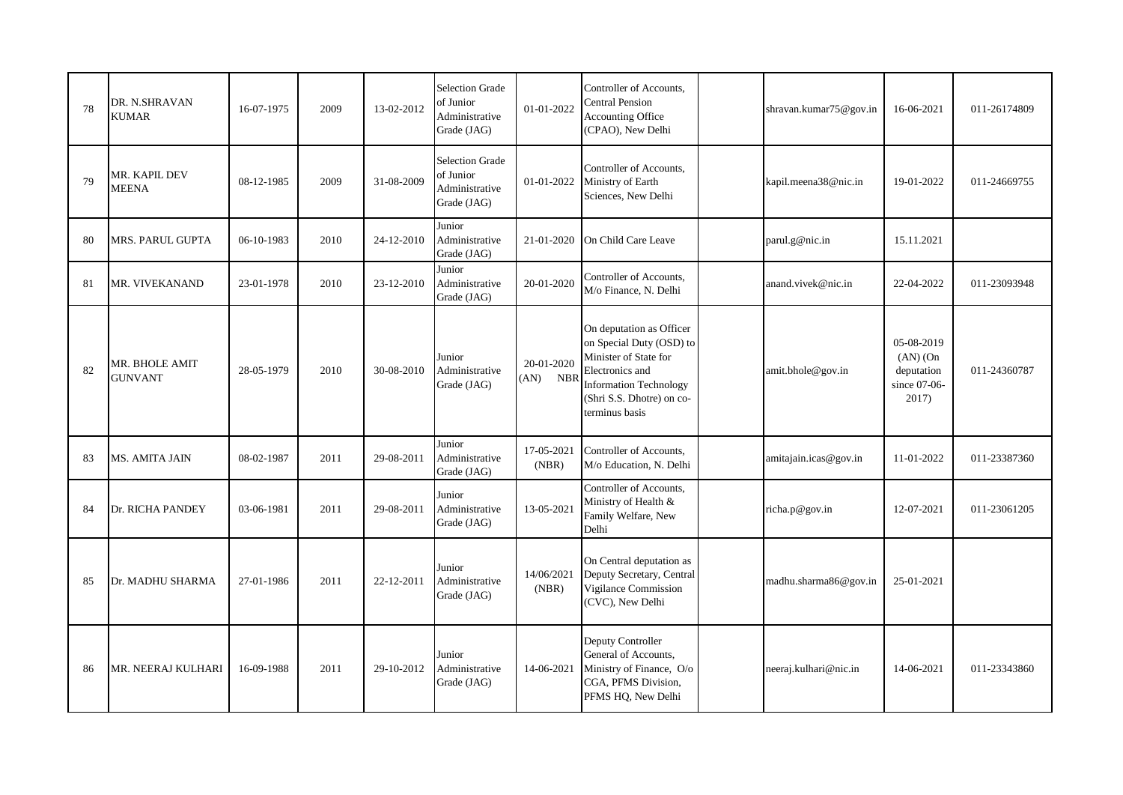|    | DR. N.SHRAVAN                    |            |      |            | <b>Selection Grade</b><br>of Junior                                  |                                  | Controller of Accounts,<br><b>Central Pension</b>                                                                                                                                |                        |                                                                   |              |
|----|----------------------------------|------------|------|------------|----------------------------------------------------------------------|----------------------------------|----------------------------------------------------------------------------------------------------------------------------------------------------------------------------------|------------------------|-------------------------------------------------------------------|--------------|
| 78 | <b>KUMAR</b>                     | 16-07-1975 | 2009 | 13-02-2012 | Administrative<br>Grade (JAG)                                        | 01-01-2022                       | Accounting Office<br>(CPAO), New Delhi                                                                                                                                           | shravan.kumar75@gov.in | 16-06-2021                                                        | 011-26174809 |
| 79 | MR. KAPIL DEV<br><b>MEENA</b>    | 08-12-1985 | 2009 | 31-08-2009 | <b>Selection Grade</b><br>of Junior<br>Administrative<br>Grade (JAG) | 01-01-2022                       | Controller of Accounts,<br>Ministry of Earth<br>Sciences, New Delhi                                                                                                              | kapil.meena38@nic.in   | 19-01-2022                                                        | 011-24669755 |
| 80 | MRS. PARUL GUPTA                 | 06-10-1983 | 2010 | 24-12-2010 | Junior<br>Administrative<br>Grade (JAG)                              | 21-01-2020                       | On Child Care Leave                                                                                                                                                              | parul.g@nic.in         | 15.11.2021                                                        |              |
| 81 | MR. VIVEKANAND                   | 23-01-1978 | 2010 | 23-12-2010 | Junior<br>Administrative<br>Grade (JAG)                              | 20-01-2020                       | Controller of Accounts,<br>M/o Finance, N. Delhi                                                                                                                                 | anand.vivek@nic.in     | 22-04-2022                                                        | 011-23093948 |
| 82 | MR. BHOLE AMIT<br><b>GUNVANT</b> | 28-05-1979 | 2010 | 30-08-2010 | Junior<br>Administrative<br>Grade (JAG)                              | 20-01-2020<br><b>NBR</b><br>(AN) | On deputation as Officer<br>on Special Duty (OSD) to<br>Minister of State for<br>Electronics and<br><b>Information Technology</b><br>(Shri S.S. Dhotre) on co-<br>terminus basis | amit.bhole@gov.in      | 05-08-2019<br>$(AN)$ $(On$<br>deputation<br>since 07-06-<br>2017) | 011-24360787 |
| 83 | MS. AMITA JAIN                   | 08-02-1987 | 2011 | 29-08-2011 | Junior<br>Administrative<br>Grade (JAG)                              | 17-05-2021<br>(NBR)              | Controller of Accounts,<br>M/o Education, N. Delhi                                                                                                                               | amitajain.icas@gov.in  | 11-01-2022                                                        | 011-23387360 |
| 84 | Dr. RICHA PANDEY                 | 03-06-1981 | 2011 | 29-08-2011 | Junior<br>Administrative<br>Grade (JAG)                              | 13-05-2021                       | Controller of Accounts,<br>Ministry of Health &<br>Family Welfare, New<br>Delhi                                                                                                  | richa.p@gov.in         | 12-07-2021                                                        | 011-23061205 |
| 85 | Dr. MADHU SHARMA                 | 27-01-1986 | 2011 | 22-12-2011 | Junior<br>Administrative<br>Grade (JAG)                              | 14/06/2021<br>(NBR)              | On Central deputation as<br>Deputy Secretary, Central<br>Vigilance Commission<br>(CVC), New Delhi                                                                                | madhu.sharma86@gov.in  | 25-01-2021                                                        |              |
| 86 | MR. NEERAJ KULHARI               | 16-09-1988 | 2011 | 29-10-2012 | Junior<br>Administrative<br>Grade (JAG)                              | 14-06-2021                       | Deputy Controller<br>General of Accounts,<br>Ministry of Finance, O/o<br>CGA, PFMS Division,<br>PFMS HQ, New Delhi                                                               | neeraj.kulhari@nic.in  | 14-06-2021                                                        | 011-23343860 |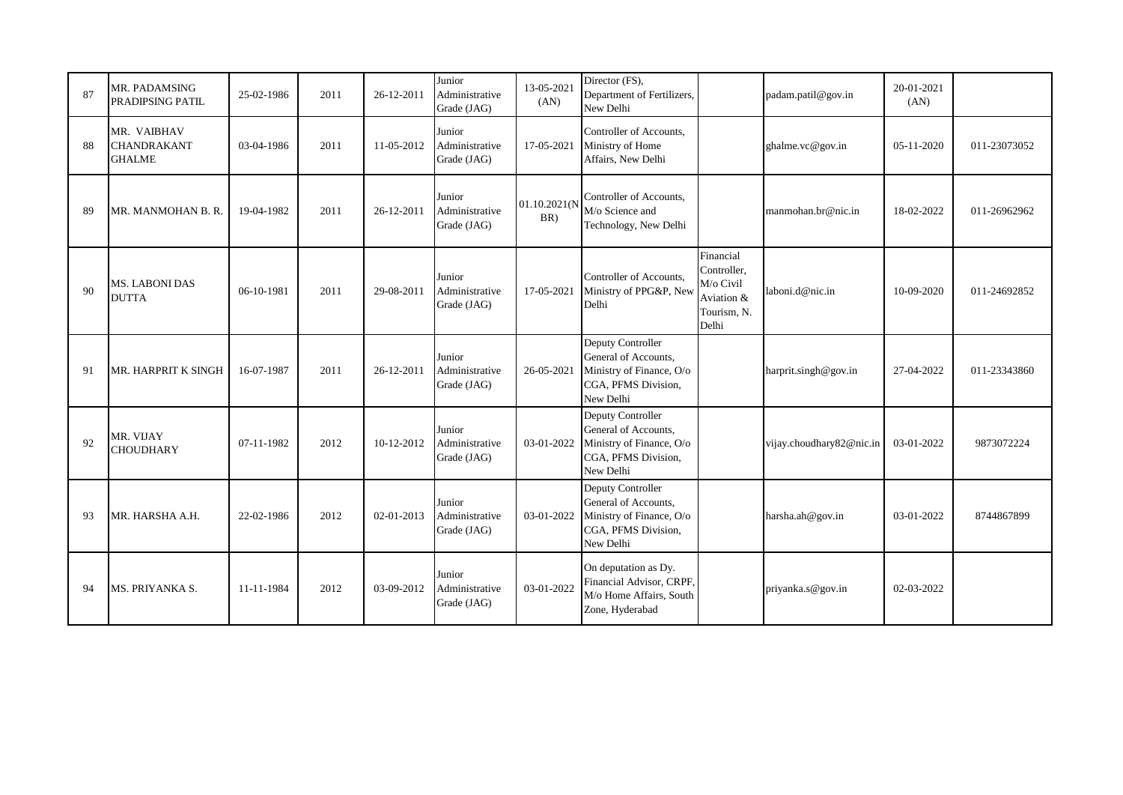| 87 | MR. PADAMSING<br>PRADIPSING PATIL                  | 25-02-1986 | 2011 | 26-12-2011 | Junior<br>Administrative<br>Grade (JAG) | 13-05-2021<br>(AN)     | Director (FS),<br>Department of Fertilizers,<br>New Delhi                                                 |                                                                             | padam.patil@gov.in       | 20-01-2021<br>(AN) |              |
|----|----------------------------------------------------|------------|------|------------|-----------------------------------------|------------------------|-----------------------------------------------------------------------------------------------------------|-----------------------------------------------------------------------------|--------------------------|--------------------|--------------|
| 88 | MR. VAIBHAV<br><b>CHANDRAKANT</b><br><b>GHALME</b> | 03-04-1986 | 2011 | 11-05-2012 | Junior<br>Administrative<br>Grade (JAG) | 17-05-2021             | Controller of Accounts.<br>Ministry of Home<br>Affairs, New Delhi                                         |                                                                             | ghalme.vc@gov.in         | 05-11-2020         | 011-23073052 |
| 89 | MR. MANMOHAN B. R.                                 | 19-04-1982 | 2011 | 26-12-2011 | Junior<br>Administrative<br>Grade (JAG) | 01.10.2021(N<br>$BR$ ) | Controller of Accounts.<br>M/o Science and<br>Technology, New Delhi                                       |                                                                             | manmohan.br@nic.in       | 18-02-2022         | 011-26962962 |
| 90 | MS. LABONI DAS<br><b>DUTTA</b>                     | 06-10-1981 | 2011 | 29-08-2011 | Junior<br>Administrative<br>Grade (JAG) | 17-05-2021             | Controller of Accounts,<br>Ministry of PPG&P, New<br>Delhi                                                | Financial<br>Controller,<br>M/o Civil<br>Aviation &<br>Tourism, N.<br>Delhi | laboni.d@nic.in          | 10-09-2020         | 011-24692852 |
| 91 | MR. HARPRIT K SINGH                                | 16-07-1987 | 2011 | 26-12-2011 | Junior<br>Administrative<br>Grade (JAG) | 26-05-2021             | Deputy Controller<br>General of Accounts,<br>Ministry of Finance, O/o<br>CGA, PFMS Division,<br>New Delhi |                                                                             | harprit.singh@gov.in     | 27-04-2022         | 011-23343860 |
| 92 | MR. VIJAY<br><b>CHOUDHARY</b>                      | 07-11-1982 | 2012 | 10-12-2012 | Junior<br>Administrative<br>Grade (JAG) | 03-01-2022             | Deputy Controller<br>General of Accounts,<br>Ministry of Finance, O/o<br>CGA, PFMS Division,<br>New Delhi |                                                                             | vijay.choudhary82@nic.in | 03-01-2022         | 9873072224   |
| 93 | MR. HARSHA A.H.                                    | 22-02-1986 | 2012 | 02-01-2013 | Junior<br>Administrative<br>Grade (JAG) | 03-01-2022             | Deputy Controller<br>General of Accounts,<br>Ministry of Finance, O/o<br>CGA, PFMS Division,<br>New Delhi |                                                                             | harsha.ah@gov.in         | 03-01-2022         | 8744867899   |
| 94 | MS. PRIYANKA S.                                    | 11-11-1984 | 2012 | 03-09-2012 | Junior<br>Administrative<br>Grade (JAG) | 03-01-2022             | On deputation as Dy.<br>Financial Advisor, CRPF,<br>M/o Home Affairs, South<br>Zone, Hyderabad            |                                                                             | priyanka.s@gov.in        | 02-03-2022         |              |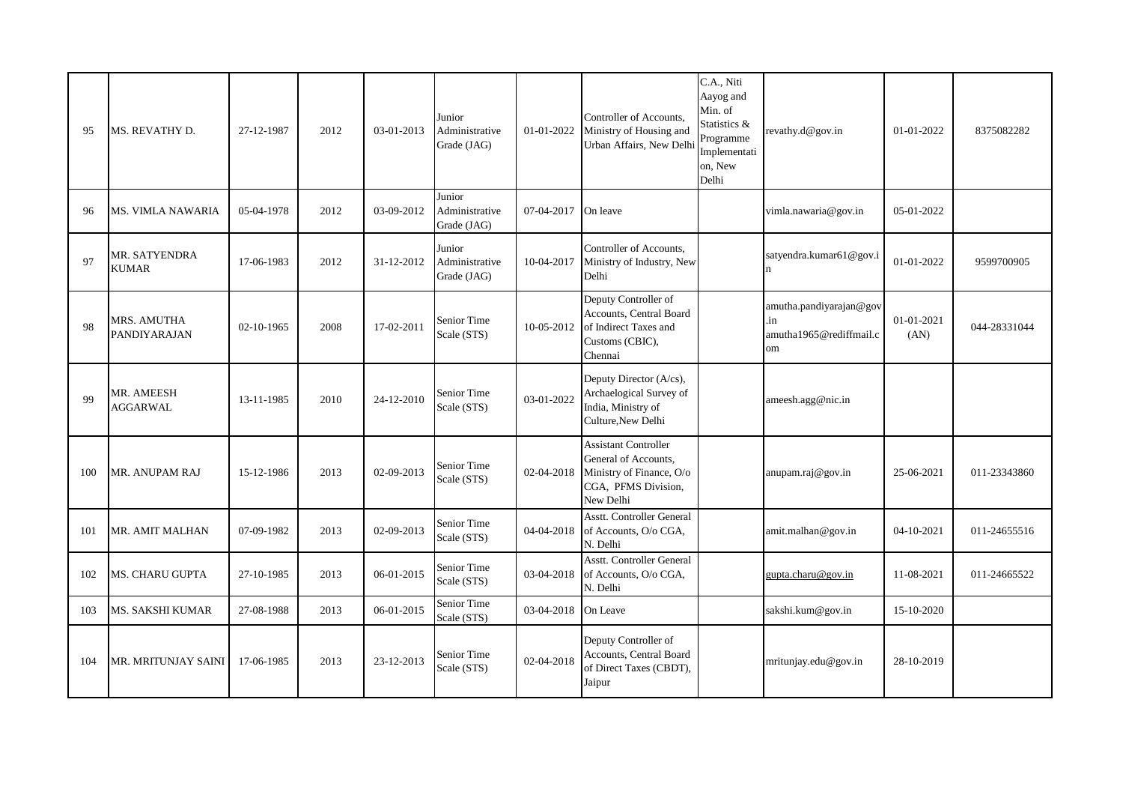| 95  | MS. REVATHY D.                       | 27-12-1987 | 2012 | 03-01-2013 | Junior<br>Administrative<br>Grade (JAG) | 01-01-2022 | Controller of Accounts,<br>Ministry of Housing and<br>Urban Affairs, New Delhi                                      | C.A., Niti<br>Aayog and<br>Min. of<br>Statistics &<br>Programme<br>Implementati<br>on, New<br>Delhi | revathy.d@gov.in                                                | 01-01-2022         | 8375082282   |
|-----|--------------------------------------|------------|------|------------|-----------------------------------------|------------|---------------------------------------------------------------------------------------------------------------------|-----------------------------------------------------------------------------------------------------|-----------------------------------------------------------------|--------------------|--------------|
| 96  | <b>MS. VIMLA NAWARIA</b>             | 05-04-1978 | 2012 | 03-09-2012 | Junior<br>Administrative<br>Grade (JAG) | 07-04-2017 | On leave                                                                                                            |                                                                                                     | vimla.nawaria@gov.in                                            | 05-01-2022         |              |
| 97  | MR. SATYENDRA<br><b>KUMAR</b>        | 17-06-1983 | 2012 | 31-12-2012 | Junior<br>Administrative<br>Grade (JAG) | 10-04-2017 | Controller of Accounts,<br>Ministry of Industry, New<br>Delhi                                                       |                                                                                                     | satyendra.kumar61@gov.i                                         | 01-01-2022         | 9599700905   |
| 98  | MRS. AMUTHA<br><b>PANDIYARAJAN</b>   | 02-10-1965 | 2008 | 17-02-2011 | <b>Senior Time</b><br>Scale (STS)       | 10-05-2012 | Deputy Controller of<br>Accounts, Central Board<br>of Indirect Taxes and<br>Customs (CBIC),<br>Chennai              |                                                                                                     | amutha.pandiyarajan@gov<br>.in<br>amutha1965@rediffmail.c<br>om | 01-01-2021<br>(AN) | 044-28331044 |
| 99  | <b>MR. AMEESH</b><br><b>AGGARWAL</b> | 13-11-1985 | 2010 | 24-12-2010 | Senior Time<br>Scale (STS)              | 03-01-2022 | Deputy Director (A/cs),<br>Archaelogical Survey of<br>India, Ministry of<br>Culture, New Delhi                      |                                                                                                     | ameesh.agg@nic.in                                               |                    |              |
| 100 | MR. ANUPAM RAJ                       | 15-12-1986 | 2013 | 02-09-2013 | Senior Time<br>Scale (STS)              | 02-04-2018 | <b>Assistant Controller</b><br>General of Accounts,<br>Ministry of Finance, O/o<br>CGA, PFMS Division,<br>New Delhi |                                                                                                     | anupam.raj@gov.in                                               | 25-06-2021         | 011-23343860 |
| 101 | MR. AMIT MALHAN                      | 07-09-1982 | 2013 | 02-09-2013 | Senior Time<br>Scale (STS)              | 04-04-2018 | Asstt. Controller General<br>of Accounts, O/o CGA,<br>N. Delhi                                                      |                                                                                                     | amit.malhan@gov.in                                              | 04-10-2021         | 011-24655516 |
| 102 | MS. CHARU GUPTA                      | 27-10-1985 | 2013 | 06-01-2015 | Senior Time<br>Scale (STS)              | 03-04-2018 | <b>Asstt. Controller General</b><br>of Accounts, O/o CGA,<br>N. Delhi                                               |                                                                                                     | gupta.charu@gov.in                                              | 11-08-2021         | 011-24665522 |
| 103 | MS. SAKSHI KUMAR                     | 27-08-1988 | 2013 | 06-01-2015 | Senior Time<br>Scale (STS)              | 03-04-2018 | On Leave                                                                                                            |                                                                                                     | sakshi.kum@gov.in                                               | 15-10-2020         |              |
| 104 | MR. MRITUNJAY SAINI                  | 17-06-1985 | 2013 | 23-12-2013 | Senior Time<br>Scale (STS)              | 02-04-2018 | Deputy Controller of<br>Accounts, Central Board<br>of Direct Taxes (CBDT),<br>Jaipur                                |                                                                                                     | mritunjay.edu@gov.in                                            | 28-10-2019         |              |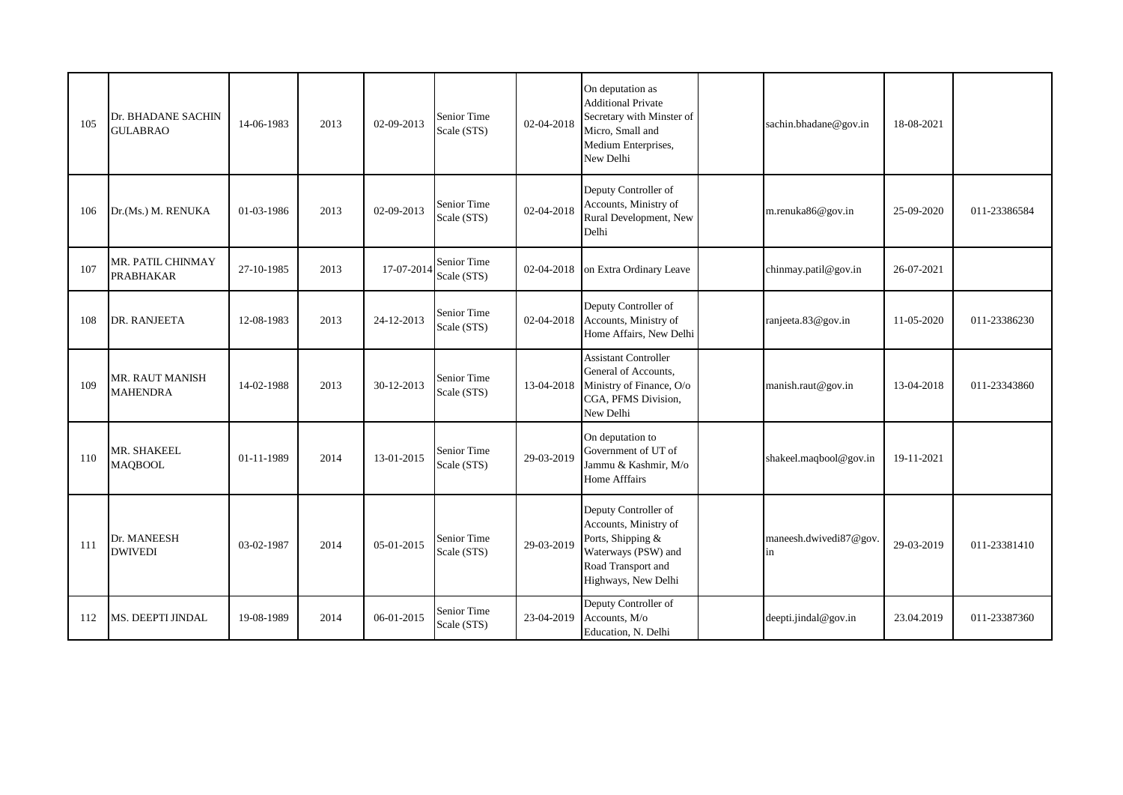| 105 | Dr. BHADANE SACHIN<br><b>GULABRAO</b> | 14-06-1983 | 2013 | 02-09-2013 | Senior Time<br>Scale (STS) | 02-04-2018 | On deputation as<br><b>Additional Private</b><br>Secretary with Minster of<br>Micro, Small and<br>Medium Enterprises,<br>New Delhi     | sachin.bhadane@gov.in        | 18-08-2021 |              |
|-----|---------------------------------------|------------|------|------------|----------------------------|------------|----------------------------------------------------------------------------------------------------------------------------------------|------------------------------|------------|--------------|
| 106 | Dr.(Ms.) M. RENUKA                    | 01-03-1986 | 2013 | 02-09-2013 | Senior Time<br>Scale (STS) | 02-04-2018 | Deputy Controller of<br>Accounts, Ministry of<br>Rural Development, New<br>Delhi                                                       | m.renuka86@gov.in            | 25-09-2020 | 011-23386584 |
| 107 | MR. PATIL CHINMAY<br><b>PRABHAKAR</b> | 27-10-1985 | 2013 | 17-07-2014 | Senior Time<br>Scale (STS) | 02-04-2018 | on Extra Ordinary Leave                                                                                                                | chinmay.patil@gov.in         | 26-07-2021 |              |
| 108 | DR. RANJEETA                          | 12-08-1983 | 2013 | 24-12-2013 | Senior Time<br>Scale (STS) | 02-04-2018 | Deputy Controller of<br>Accounts, Ministry of<br>Home Affairs, New Delhi                                                               | ranjeeta.83@gov.in           | 11-05-2020 | 011-23386230 |
| 109 | MR. RAUT MANISH<br><b>MAHENDRA</b>    | 14-02-1988 | 2013 | 30-12-2013 | Senior Time<br>Scale (STS) | 13-04-2018 | <b>Assistant Controller</b><br>General of Accounts,<br>Ministry of Finance, O/o<br>CGA, PFMS Division,<br>New Delhi                    | manish.raut@gov.in           | 13-04-2018 | 011-23343860 |
| 110 | MR. SHAKEEL<br><b>MAQBOOL</b>         | 01-11-1989 | 2014 | 13-01-2015 | Senior Time<br>Scale (STS) | 29-03-2019 | On deputation to<br>Government of UT of<br>Jammu & Kashmir, M/o<br><b>Home Afffairs</b>                                                | shakeel.maqbool@gov.in       | 19-11-2021 |              |
| 111 | Dr. MANEESH<br><b>DWIVEDI</b>         | 03-02-1987 | 2014 | 05-01-2015 | Senior Time<br>Scale (STS) | 29-03-2019 | Deputy Controller of<br>Accounts, Ministry of<br>Ports, Shipping &<br>Waterways (PSW) and<br>Road Transport and<br>Highways, New Delhi | maneesh.dwivedi87@gov.<br>in | 29-03-2019 | 011-23381410 |
| 112 | MS. DEEPTI JINDAL                     | 19-08-1989 | 2014 | 06-01-2015 | Senior Time<br>Scale (STS) | 23-04-2019 | Deputy Controller of<br>Accounts, M/o<br>Education, N. Delhi                                                                           | deepti.jindal@gov.in         | 23.04.2019 | 011-23387360 |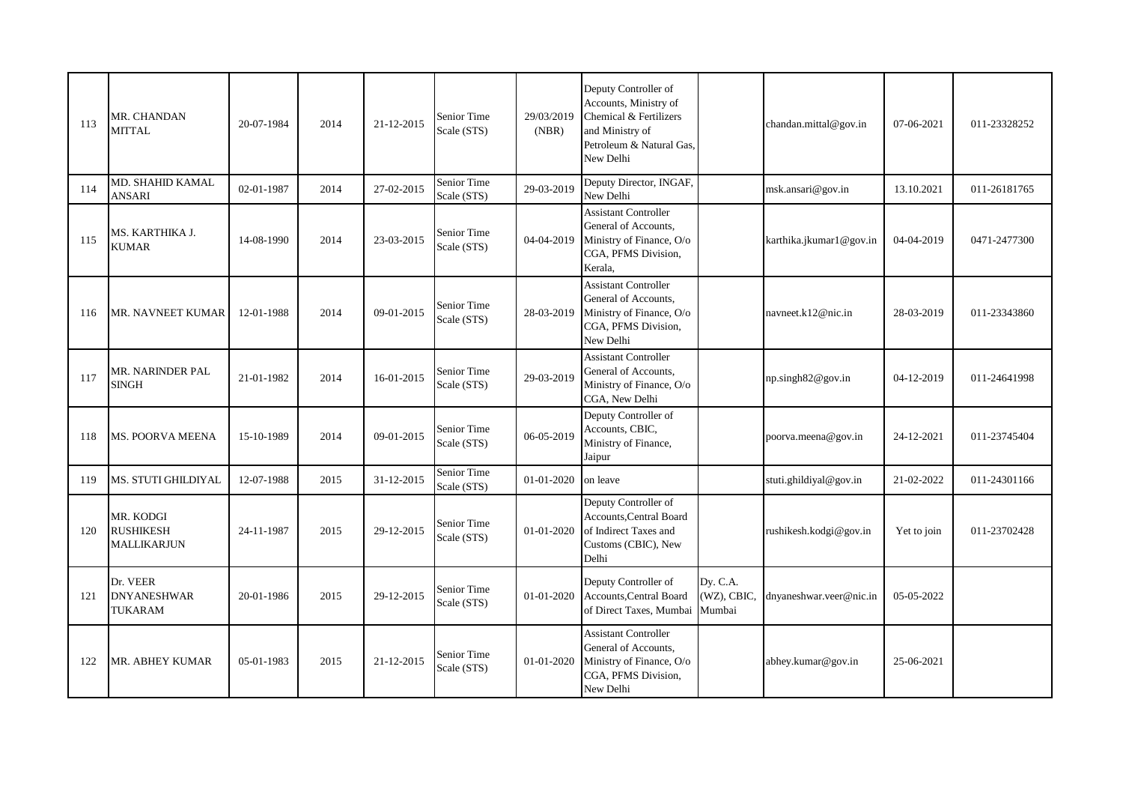| 113 | MR. CHANDAN<br><b>MITTAL</b>                        | 20-07-1984 | 2014 | 21-12-2015 | Senior Time<br>Scale (STS) | 29/03/2019<br>(NBR) | Deputy Controller of<br>Accounts, Ministry of<br>Chemical & Fertilizers<br>and Ministry of<br>Petroleum & Natural Gas,<br>New Delhi |                                   | chandan.mittal@gov.in   | 07-06-2021  | 011-23328252 |
|-----|-----------------------------------------------------|------------|------|------------|----------------------------|---------------------|-------------------------------------------------------------------------------------------------------------------------------------|-----------------------------------|-------------------------|-------------|--------------|
| 114 | MD. SHAHID KAMAL<br><b>ANSARI</b>                   | 02-01-1987 | 2014 | 27-02-2015 | Senior Time<br>Scale (STS) | 29-03-2019          | Deputy Director, INGAF,<br>New Delhi                                                                                                |                                   | msk.ansari@gov.in       | 13.10.2021  | 011-26181765 |
| 115 | MS. KARTHIKA J.<br><b>KUMAR</b>                     | 14-08-1990 | 2014 | 23-03-2015 | Senior Time<br>Scale (STS) | 04-04-2019          | <b>Assistant Controller</b><br>General of Accounts,<br>Ministry of Finance, O/o<br>CGA, PFMS Division,<br>Kerala.                   |                                   | karthika.jkumar1@gov.in | 04-04-2019  | 0471-2477300 |
| 116 | MR. NAVNEET KUMAR                                   | 12-01-1988 | 2014 | 09-01-2015 | Senior Time<br>Scale (STS) | 28-03-2019          | <b>Assistant Controller</b><br>General of Accounts,<br>Ministry of Finance, O/o<br>CGA, PFMS Division,<br>New Delhi                 |                                   | navneet.k12@nic.in      | 28-03-2019  | 011-23343860 |
| 117 | MR. NARINDER PAL<br><b>SINGH</b>                    | 21-01-1982 | 2014 | 16-01-2015 | Senior Time<br>Scale (STS) | 29-03-2019          | <b>Assistant Controller</b><br>General of Accounts,<br>Ministry of Finance, O/o<br>CGA, New Delhi                                   |                                   | np.singh82@gov.in       | 04-12-2019  | 011-24641998 |
| 118 | MS. POORVA MEENA                                    | 15-10-1989 | 2014 | 09-01-2015 | Senior Time<br>Scale (STS) | 06-05-2019          | Deputy Controller of<br>Accounts, CBIC,<br>Ministry of Finance,<br>Jaipur                                                           |                                   | poorva.meena@gov.in     | 24-12-2021  | 011-23745404 |
| 119 | MS. STUTI GHILDIYAL                                 | 12-07-1988 | 2015 | 31-12-2015 | Senior Time<br>Scale (STS) | 01-01-2020          | on leave                                                                                                                            |                                   | stuti.ghildiyal@gov.in  | 21-02-2022  | 011-24301166 |
| 120 | MR. KODGI<br><b>RUSHIKESH</b><br><b>MALLIKARJUN</b> | 24-11-1987 | 2015 | 29-12-2015 | Senior Time<br>Scale (STS) | 01-01-2020          | Deputy Controller of<br>Accounts, Central Board<br>of Indirect Taxes and<br>Customs (CBIC), New<br>Delhi                            |                                   | rushikesh.kodgi@gov.in  | Yet to join | 011-23702428 |
| 121 | Dr. VEER<br><b>DNYANESHWAR</b><br>TUKARAM           | 20-01-1986 | 2015 | 29-12-2015 | Senior Time<br>Scale (STS) | 01-01-2020          | Deputy Controller of<br>Accounts, Central Board<br>of Direct Taxes, Mumbai                                                          | Dy. C.A.<br>(WZ), CBIC,<br>Mumbai | dnyaneshwar.veer@nic.in | 05-05-2022  |              |
| 122 | MR. ABHEY KUMAR                                     | 05-01-1983 | 2015 | 21-12-2015 | Senior Time<br>Scale (STS) | 01-01-2020          | <b>Assistant Controller</b><br>General of Accounts,<br>Ministry of Finance, O/o<br>CGA, PFMS Division,<br>New Delhi                 |                                   | abhey.kumar@gov.in      | 25-06-2021  |              |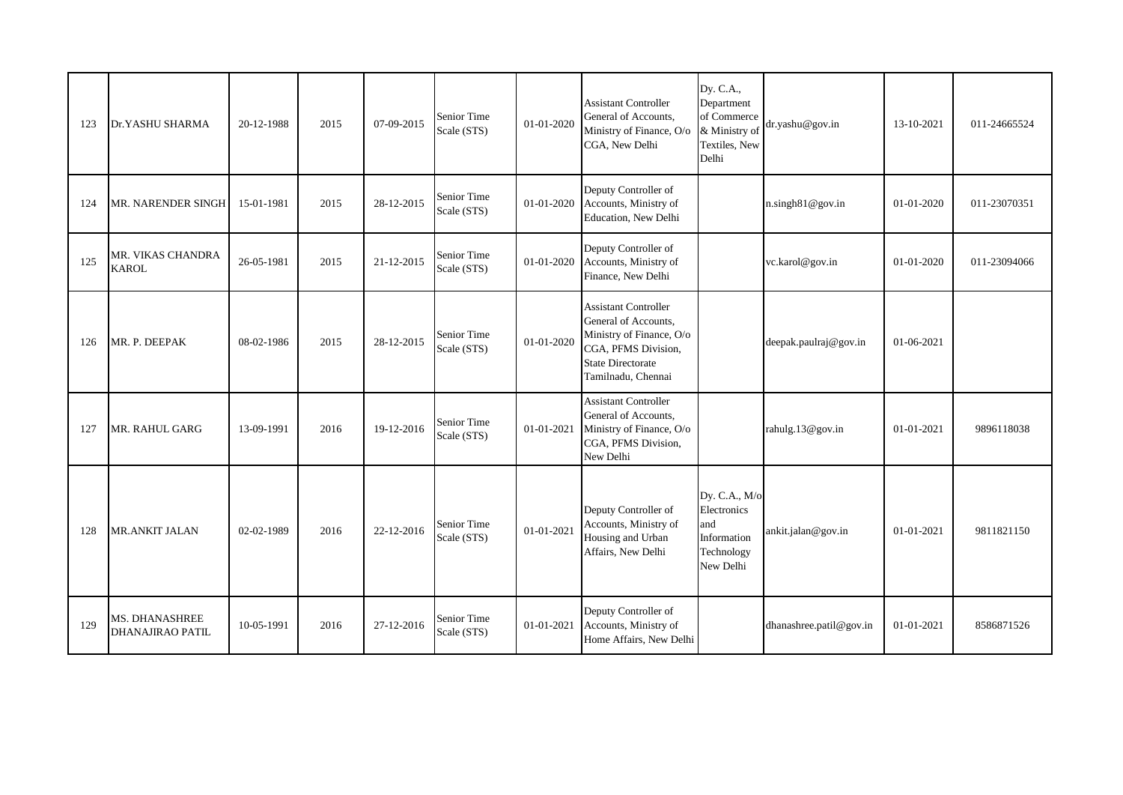| 123 | Dr.YASHU SHARMA                           | 20-12-1988 | 2015 | 07-09-2015 | Senior Time<br>Scale (STS) | 01-01-2020 | <b>Assistant Controller</b><br>General of Accounts,<br>Ministry of Finance, O/o<br>CGA, New Delhi                                                        | Dy. C.A.,<br>Department<br>of Commerce<br>& Ministry of<br>Textiles, New<br>Delhi | dr.yashu@gov.in         | 13-10-2021 | 011-24665524 |
|-----|-------------------------------------------|------------|------|------------|----------------------------|------------|----------------------------------------------------------------------------------------------------------------------------------------------------------|-----------------------------------------------------------------------------------|-------------------------|------------|--------------|
| 124 | MR. NARENDER SINGH                        | 15-01-1981 | 2015 | 28-12-2015 | Senior Time<br>Scale (STS) | 01-01-2020 | Deputy Controller of<br>Accounts, Ministry of<br>Education, New Delhi                                                                                    |                                                                                   | n.singh81@gov.in        | 01-01-2020 | 011-23070351 |
| 125 | MR. VIKAS CHANDRA<br><b>KAROL</b>         | 26-05-1981 | 2015 | 21-12-2015 | Senior Time<br>Scale (STS) | 01-01-2020 | Deputy Controller of<br>Accounts, Ministry of<br>Finance, New Delhi                                                                                      |                                                                                   | vc.karol@gov.in         | 01-01-2020 | 011-23094066 |
| 126 | MR. P. DEEPAK                             | 08-02-1986 | 2015 | 28-12-2015 | Senior Time<br>Scale (STS) | 01-01-2020 | <b>Assistant Controller</b><br>General of Accounts,<br>Ministry of Finance, O/o<br>CGA, PFMS Division,<br><b>State Directorate</b><br>Tamilnadu, Chennai |                                                                                   | deepak.paulraj@gov.in   | 01-06-2021 |              |
| 127 | MR. RAHUL GARG                            | 13-09-1991 | 2016 | 19-12-2016 | Senior Time<br>Scale (STS) | 01-01-2021 | <b>Assistant Controller</b><br>General of Accounts,<br>Ministry of Finance, O/o<br>CGA, PFMS Division,<br>New Delhi                                      |                                                                                   | rahulg.13@gov.in        | 01-01-2021 | 9896118038   |
| 128 | <b>MR.ANKIT JALAN</b>                     | 02-02-1989 | 2016 | 22-12-2016 | Senior Time<br>Scale (STS) | 01-01-2021 | Deputy Controller of<br>Accounts, Ministry of<br>Housing and Urban<br>Affairs, New Delhi                                                                 | Dy. C.A., M/o<br>Electronics<br>and<br>Information<br>Technology<br>New Delhi     | ankit.jalan@gov.in      | 01-01-2021 | 9811821150   |
| 129 | MS. DHANASHREE<br><b>DHANAJIRAO PATIL</b> | 10-05-1991 | 2016 | 27-12-2016 | Senior Time<br>Scale (STS) | 01-01-2021 | Deputy Controller of<br>Accounts, Ministry of<br>Home Affairs, New Delhi                                                                                 |                                                                                   | dhanashree.patil@gov.in | 01-01-2021 | 8586871526   |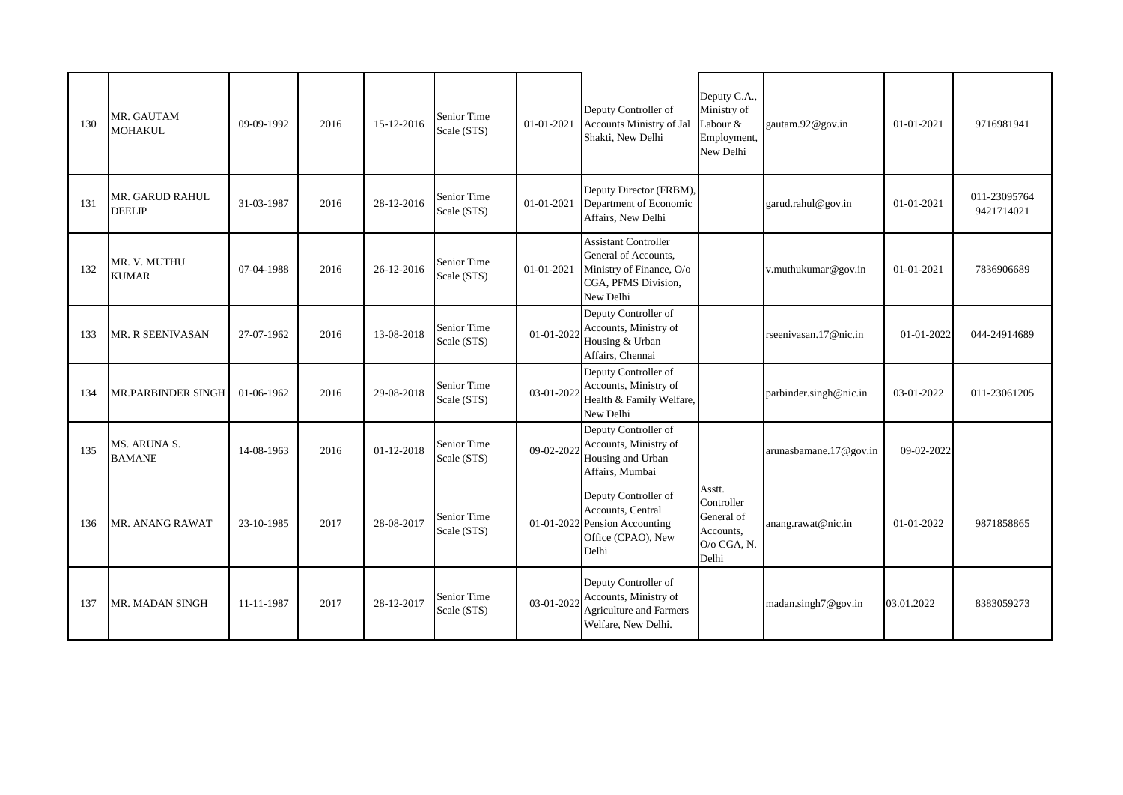| 130 | MR. GAUTAM<br><b>MOHAKUL</b>     | 09-09-1992 | 2016 | 15-12-2016 | Senior Time<br>Scale (STS) | 01-01-2021 | Deputy Controller of<br>Accounts Ministry of Jal<br>Shakti, New Delhi                                               | Deputy C.A.,<br>Ministry of<br>Labour &<br>Employment,<br>New Delhi     | gautam.92@gov.in       | 01-01-2021 | 9716981941                 |
|-----|----------------------------------|------------|------|------------|----------------------------|------------|---------------------------------------------------------------------------------------------------------------------|-------------------------------------------------------------------------|------------------------|------------|----------------------------|
| 131 | MR. GARUD RAHUL<br><b>DEELIP</b> | 31-03-1987 | 2016 | 28-12-2016 | Senior Time<br>Scale (STS) | 01-01-2021 | Deputy Director (FRBM),<br>Department of Economic<br>Affairs, New Delhi                                             |                                                                         | garud.rahul@gov.in     | 01-01-2021 | 011-23095764<br>9421714021 |
| 132 | MR. V. MUTHU<br><b>KUMAR</b>     | 07-04-1988 | 2016 | 26-12-2016 | Senior Time<br>Scale (STS) | 01-01-2021 | <b>Assistant Controller</b><br>General of Accounts,<br>Ministry of Finance, O/o<br>CGA, PFMS Division,<br>New Delhi |                                                                         | v.muthukumar@gov.in    | 01-01-2021 | 7836906689                 |
| 133 | MR. R SEENIVASAN                 | 27-07-1962 | 2016 | 13-08-2018 | Senior Time<br>Scale (STS) | 01-01-2022 | Deputy Controller of<br>Accounts, Ministry of<br>Housing & Urban<br>Affairs, Chennai                                |                                                                         | rseenivasan.17@nic.in  | 01-01-2022 | 044-24914689               |
| 134 | <b>MR.PARBINDER SINGH</b>        | 01-06-1962 | 2016 | 29-08-2018 | Senior Time<br>Scale (STS) | 03-01-2022 | Deputy Controller of<br>Accounts, Ministry of<br>Health & Family Welfare,<br>New Delhi                              |                                                                         | parbinder.singh@nic.in | 03-01-2022 | 011-23061205               |
| 135 | MS. ARUNA S.<br><b>BAMANE</b>    | 14-08-1963 | 2016 | 01-12-2018 | Senior Time<br>Scale (STS) | 09-02-2022 | Deputy Controller of<br>Accounts, Ministry of<br>Housing and Urban<br>Affairs, Mumbai                               |                                                                         | arunasbamane.17@gov.in | 09-02-2022 |                            |
| 136 | MR. ANANG RAWAT                  | 23-10-1985 | 2017 | 28-08-2017 | Senior Time<br>Scale (STS) |            | Deputy Controller of<br>Accounts, Central<br>01-01-2022 Pension Accounting<br>Office (CPAO), New<br>Delhi           | Asstt.<br>Controller<br>General of<br>Accounts,<br>O/o CGA, N.<br>Delhi | anang.rawat@nic.in     | 01-01-2022 | 9871858865                 |
| 137 | MR. MADAN SINGH                  | 11-11-1987 | 2017 | 28-12-2017 | Senior Time<br>Scale (STS) | 03-01-2022 | Deputy Controller of<br>Accounts, Ministry of<br><b>Agriculture and Farmers</b><br>Welfare, New Delhi.              |                                                                         | madan.singh7@gov.in    | 03.01.2022 | 8383059273                 |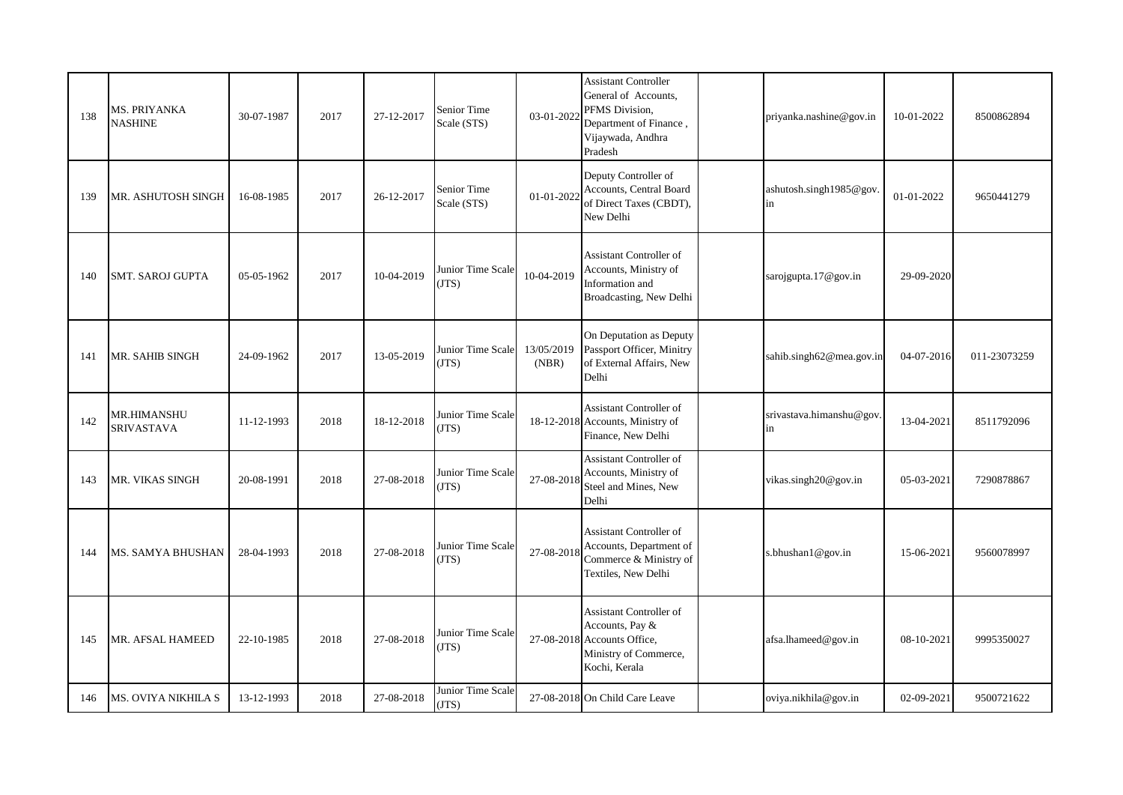| 138 | MS. PRIYANKA<br><b>NASHINE</b>   | 30-07-1987 | 2017 | 27-12-2017 | Senior Time<br>Scale (STS) | 03-01-2022          | <b>Assistant Controller</b><br>General of Accounts,<br>PFMS Division.<br>Department of Finance,<br>Vijaywada, Andhra<br>Pradesh | priyanka.nashine@gov.in        | 10-01-2022 | 8500862894   |
|-----|----------------------------------|------------|------|------------|----------------------------|---------------------|---------------------------------------------------------------------------------------------------------------------------------|--------------------------------|------------|--------------|
| 139 | MR. ASHUTOSH SINGH               | 16-08-1985 | 2017 | 26-12-2017 | Senior Time<br>Scale (STS) | 01-01-2022          | Deputy Controller of<br>Accounts, Central Board<br>of Direct Taxes (CBDT),<br>New Delhi                                         | ashutosh.singh1985@gov.<br>in  | 01-01-2022 | 9650441279   |
| 140 | <b>SMT. SAROJ GUPTA</b>          | 05-05-1962 | 2017 | 10-04-2019 | Junior Time Scale<br>(TTS) | 10-04-2019          | <b>Assistant Controller of</b><br>Accounts, Ministry of<br>Information and<br>Broadcasting, New Delhi                           | sarojgupta.17@gov.in           | 29-09-2020 |              |
| 141 | MR. SAHIB SINGH                  | 24-09-1962 | 2017 | 13-05-2019 | Junior Time Scale<br>(TTS) | 13/05/2019<br>(NBR) | On Deputation as Deputy<br>Passport Officer, Minitry<br>of External Affairs, New<br>Delhi                                       | sahib.singh62@mea.gov.in       | 04-07-2016 | 011-23073259 |
| 142 | <b>MR.HIMANSHU</b><br>SRIVASTAVA | 11-12-1993 | 2018 | 18-12-2018 | Junior Time Scale<br>(TTS) |                     | Assistant Controller of<br>18-12-2018 Accounts, Ministry of<br>Finance, New Delhi                                               | srivastava.himanshu@gov.<br>in | 13-04-2021 | 8511792096   |
| 143 | MR. VIKAS SINGH                  | 20-08-1991 | 2018 | 27-08-2018 | Junior Time Scale<br>(TTS) | 27-08-2018          | <b>Assistant Controller of</b><br>Accounts, Ministry of<br>Steel and Mines, New<br>Delhi                                        | vikas.singh20@gov.in           | 05-03-2021 | 7290878867   |
| 144 | MS. SAMYA BHUSHAN                | 28-04-1993 | 2018 | 27-08-2018 | Junior Time Scale<br>(TTS) | 27-08-2018          | <b>Assistant Controller of</b><br>Accounts, Department of<br>Commerce & Ministry of<br>Textiles, New Delhi                      | s.bhushan1@gov.in              | 15-06-2021 | 9560078997   |
| 145 | MR. AFSAL HAMEED                 | 22-10-1985 | 2018 | 27-08-2018 | Junior Time Scale<br>(TTS) |                     | Assistant Controller of<br>Accounts, Pay &<br>27-08-2018 Accounts Office,<br>Ministry of Commerce,<br>Kochi, Kerala             | afsa.lhameed@gov.in            | 08-10-2021 | 9995350027   |
| 146 | MS. OVIYA NIKHILA S              | 13-12-1993 | 2018 | 27-08-2018 | Junior Time Scale<br>(TTS) |                     | 27-08-2018 On Child Care Leave                                                                                                  | oviya.nikhila@gov.in           | 02-09-2021 | 9500721622   |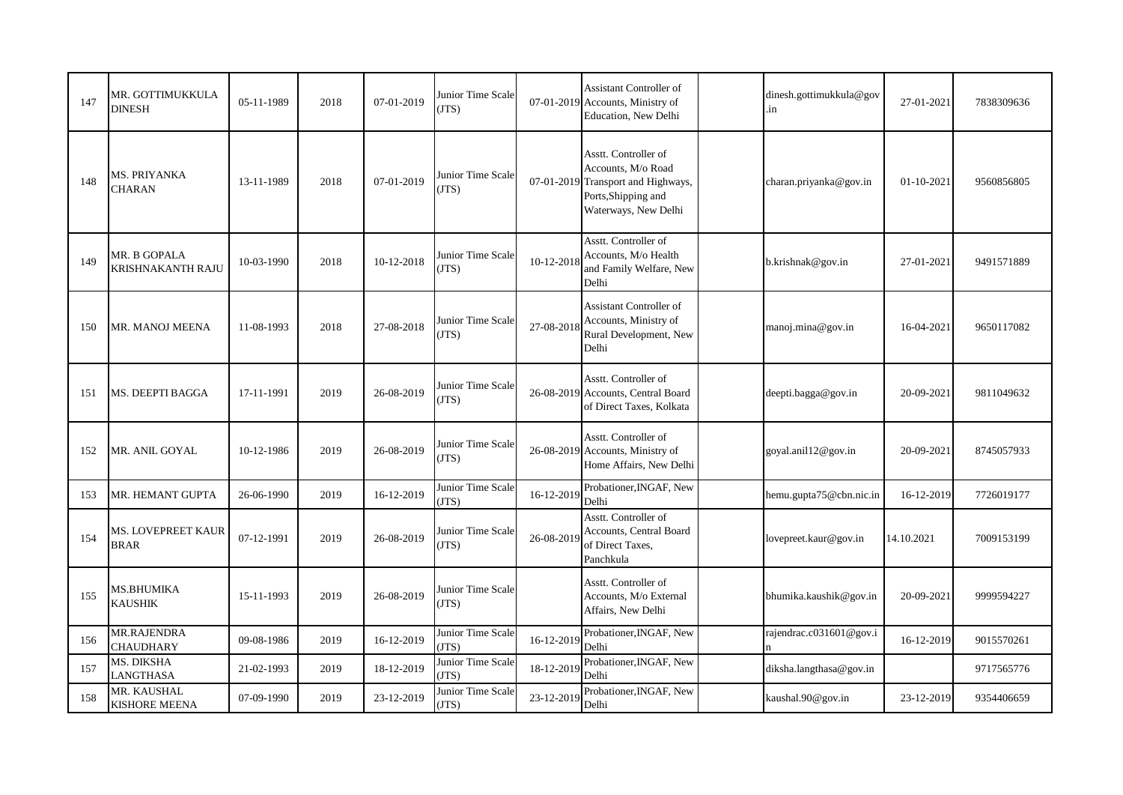| 147 | MR. GOTTIMUKKULA<br>DINESH               | 05-11-1989 | 2018 | 07-01-2019 | Junior Time Scale<br>(TTS)        |            | <b>Assistant Controller of</b><br>07-01-2019 Accounts, Ministry of<br>Education, New Delhi                                      | dinesh.gottimukkula@gov<br>.in | 27-01-2021 | 7838309636 |
|-----|------------------------------------------|------------|------|------------|-----------------------------------|------------|---------------------------------------------------------------------------------------------------------------------------------|--------------------------------|------------|------------|
| 148 | MS. PRIYANKA<br><b>CHARAN</b>            | 13-11-1989 | 2018 | 07-01-2019 | Junior Time Scale<br>JTS)         |            | Asstt. Controller of<br>Accounts, M/o Road<br>07-01-2019 Transport and Highways,<br>Ports, Shipping and<br>Waterways, New Delhi | charan.priyanka@gov.in         | 01-10-2021 | 9560856805 |
| 149 | <b>MR. B GOPALA</b><br>KRISHNAKANTH RAJU | 10-03-1990 | 2018 | 10-12-2018 | Junior Time Scale<br>JTS)         | 10-12-2018 | Asstt. Controller of<br>Accounts, M/o Health<br>and Family Welfare, New<br>Delhi                                                | b.krishnak@gov.in              | 27-01-2021 | 9491571889 |
| 150 | MR. MANOJ MEENA                          | 11-08-1993 | 2018 | 27-08-2018 | Junior Time Scale<br>(JTS)        | 27-08-2018 | <b>Assistant Controller of</b><br>Accounts, Ministry of<br>Rural Development, New<br>Delhi                                      | manoj.mina@gov.in              | 16-04-2021 | 9650117082 |
| 151 | MS. DEEPTI BAGGA                         | 17-11-1991 | 2019 | 26-08-2019 | Junior Time Scale<br>(JTS)        |            | Asstt. Controller of<br>26-08-2019 Accounts, Central Board<br>of Direct Taxes, Kolkata                                          | deepti.bagga@gov.in            | 20-09-2021 | 9811049632 |
| 152 | MR. ANIL GOYAL                           | 10-12-1986 | 2019 | 26-08-2019 | Junior Time Scale<br>(JTS)        |            | Asstt. Controller of<br>26-08-2019 Accounts, Ministry of<br>Home Affairs, New Delhi                                             | goyal.anil12@gov.in            | 20-09-2021 | 8745057933 |
| 153 | MR. HEMANT GUPTA                         | 26-06-1990 | 2019 | 16-12-2019 | Junior Time Scale<br>(TTS)        | 16-12-2019 | Probationer, INGAF, New<br>Delhi                                                                                                | hemu.gupta75@cbn.nic.in        | 16-12-2019 | 7726019177 |
| 154 | MS. LOVEPREET KAUR<br><b>BRAR</b>        | 07-12-1991 | 2019 | 26-08-2019 | Junior Time Scale<br>(JTS)        | 26-08-2019 | Asstt. Controller of<br>Accounts, Central Board<br>of Direct Taxes,<br>Panchkula                                                | lovepreet.kaur@gov.in          | 14.10.2021 | 7009153199 |
| 155 | <b>MS.BHUMIKA</b><br><b>KAUSHIK</b>      | 15-11-1993 | 2019 | 26-08-2019 | Junior Time Scale<br>(JTS)        |            | Asstt. Controller of<br>Accounts, M/o External<br>Affairs, New Delhi                                                            | bhumika.kaushik@gov.in         | 20-09-2021 | 9999594227 |
| 156 | MR.RAJENDRA<br><b>CHAUDHARY</b>          | 09-08-1986 | 2019 | 16-12-2019 | Junior Time Scale<br><b>JTS</b> ) | 16-12-2019 | Probationer, INGAF, New<br>Delhi                                                                                                | rajendrac.c031601@gov.i        | 16-12-2019 | 9015570261 |
| 157 | MS. DIKSHA<br><b>LANGTHASA</b>           | 21-02-1993 | 2019 | 18-12-2019 | Junior Time Scale<br>(JTS)        | 18-12-2019 | Probationer, INGAF, New<br>Delhi                                                                                                | diksha.langthasa@gov.in        |            | 9717565776 |
| 158 | MR. KAUSHAL<br><b>KISHORE MEENA</b>      | 07-09-1990 | 2019 | 23-12-2019 | Junior Time Scale<br>(JTS)        | 23-12-2019 | Probationer, INGAF, New<br>Delhi                                                                                                | kaushal.90@gov.in              | 23-12-2019 | 9354406659 |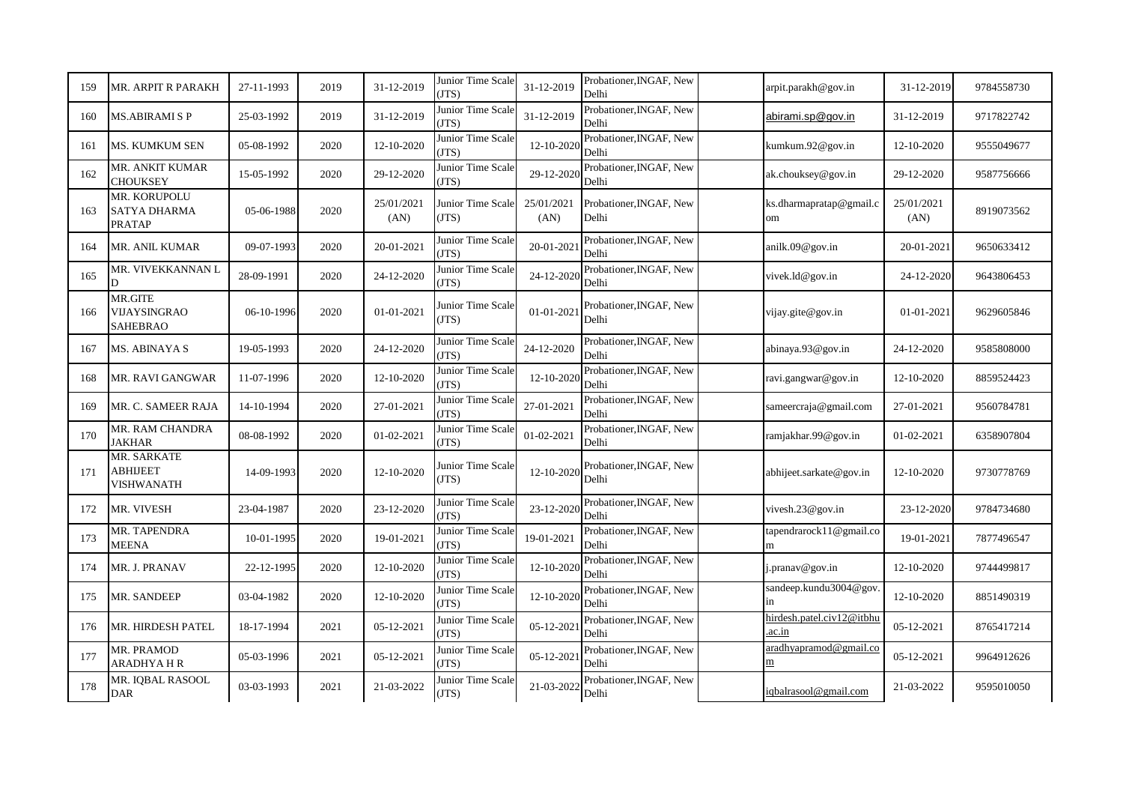| 159 | MR. ARPIT R PARAKH                            | 27-11-1993 | 2019 | 31-12-2019         | Junior Time Scale<br>(JTS)        | 31-12-2019         | Probationer, INGAF, New<br>Delhi | arpit.parakh@gov.in                 | 31-12-2019         | 9784558730 |
|-----|-----------------------------------------------|------------|------|--------------------|-----------------------------------|--------------------|----------------------------------|-------------------------------------|--------------------|------------|
| 160 | <b>MS.ABIRAMI S P</b>                         | 25-03-1992 | 2019 | 31-12-2019         | Junior Time Scale<br>(TTS)        | 31-12-2019         | Probationer, INGAF, New<br>Delhi | abirami.sp@gov.in                   | 31-12-2019         | 9717822742 |
| 161 | <b>MS. KUMKUM SEN</b>                         | 05-08-1992 | 2020 | 12-10-2020         | Junior Time Scale<br>(TTS)        | 12-10-2020         | Probationer, INGAF, New<br>Delhi | kumkum.92@gov.in                    | 12-10-2020         | 9555049677 |
| 162 | MR. ANKIT KUMAR<br>CHOUKSEY                   | 15-05-1992 | 2020 | 29-12-2020         | Junior Time Scale<br>(TTS)        | 29-12-2020         | Probationer, INGAF, New<br>Delhi | ak.chouksey@gov.in                  | 29-12-2020         | 9587756666 |
| 163 | MR. KORUPOLU<br><b>SATYA DHARMA</b><br>PRATAP | 05-06-1988 | 2020 | 25/01/2021<br>(AN) | Junior Time Scale<br>(TTS)        | 25/01/2021<br>(AN) | Probationer, INGAF, New<br>Delhi | ks.dharmapratap@gmail.c<br>om       | 25/01/2021<br>(AN) | 8919073562 |
| 164 | MR. ANIL KUMAR                                | 09-07-1993 | 2020 | 20-01-2021         | Junior Time Scale<br>(JTS)        | 20-01-2021         | Probationer, INGAF, New<br>Delhi | anilk.09@gov.in                     | 20-01-2021         | 9650633412 |
| 165 | MR. VIVEKKANNAN L<br>D                        | 28-09-1991 | 2020 | 24-12-2020         | Junior Time Scale<br>(TTS)        | 24-12-2020         | Probationer, INGAF, New<br>Delhi | vivek.ld@gov.in                     | 24-12-2020         | 9643806453 |
| 166 | MR.GITE<br>VIJAYSINGRAO<br>SAHEBRAO           | 06-10-1996 | 2020 | 01-01-2021         | Junior Time Scale<br>(TTS)        | $01 - 01 - 2021$   | Probationer, INGAF, New<br>Delhi | vijay.gite@gov.in                   | 01-01-2021         | 9629605846 |
| 167 | <b>MS. ABINAYA S</b>                          | 19-05-1993 | 2020 | 24-12-2020         | Junior Time Scale<br>(TTS)        | 24-12-2020         | Probationer, INGAF, New<br>Delhi | abinaya.93@gov.in                   | 24-12-2020         | 9585808000 |
| 168 | MR. RAVI GANGWAR                              | 11-07-1996 | 2020 | 12-10-2020         | Junior Time Scale<br>(TTS)        | 12-10-2020         | Probationer, INGAF, New<br>Delhi | ravi.gangwar@gov.in                 | 12-10-2020         | 8859524423 |
| 169 | MR. C. SAMEER RAJA                            | 14-10-1994 | 2020 | 27-01-2021         | Junior Time Scale<br>(TTS)        | 27-01-2021         | Probationer, INGAF, New<br>Delhi | sameercraja@gmail.com               | 27-01-2021         | 9560784781 |
| 170 | MR. RAM CHANDRA<br>JAKHAR                     | 08-08-1992 | 2020 | 01-02-2021         | Junior Time Scale<br>(TTS)        | 01-02-2021         | Probationer, INGAF, New<br>Delhi | ramjakhar.99@gov.in                 | 01-02-2021         | 6358907804 |
| 171 | MR. SARKATE<br><b>ABHIJEET</b><br>VISHWANATH  | 14-09-1993 | 2020 | 12-10-2020         | Junior Time Scale<br>(TTS)        | 12-10-2020         | Probationer, INGAF, New<br>Delhi | abhijeet.sarkate@gov.in             | 12-10-2020         | 9730778769 |
| 172 | MR. VIVESH                                    | 23-04-1987 | 2020 | 23-12-2020         | Junior Time Scale<br>JTS)         | 23-12-2020         | Probationer, INGAF, New<br>Delhi | vivesh. $23@$ gov.in                | 23-12-2020         | 9784734680 |
| 173 | MR. TAPENDRA<br>MEENA                         | 10-01-1995 | 2020 | 19-01-2021         | Junior Time Scale<br>(TTS)        | 19-01-2021         | Probationer, INGAF, New<br>Delhi | tapendrarock11@gmail.co<br>m        | 19-01-2021         | 7877496547 |
| 174 | MR. J. PRANAV                                 | 22-12-1995 | 2020 | 12-10-2020         | Junior Time Scale<br>(TTS)        | 12-10-2020         | Probationer, INGAF, New<br>Delhi | j.pranav@gov.in                     | 12-10-2020         | 9744499817 |
| 175 | MR. SANDEEP                                   | 03-04-1982 | 2020 | 12-10-2020         | Junior Time Scale<br>(TTS)        | 12-10-2020         | Probationer, INGAF, New<br>Delhi | sandeep.kundu3004@gov.<br>in        | 12-10-2020         | 8851490319 |
| 176 | MR. HIRDESH PATEL                             | 18-17-1994 | 2021 | 05-12-2021         | Junior Time Scale<br><b>JTS</b> ) | 05-12-2021         | Probationer, INGAF, New<br>Delhi | hirdesh.patel.civ12@itbhu<br>.ac.in | 05-12-2021         | 8765417214 |
| 177 | MR. PRAMOD<br><b>ARADHYA H R</b>              | 05-03-1996 | 2021 | 05-12-2021         | Junior Time Scale<br>(TTS)        | 05-12-2021         | Probationer, INGAF, New<br>Delhi | aradhyapramod@gmail.co<br>m         | 05-12-2021         | 9964912626 |
| 178 | MR. IQBAL RASOOL<br><b>DAR</b>                | 03-03-1993 | 2021 | 21-03-2022         | Junior Time Scale<br>(TTS)        | 21-03-2022         | Probationer, INGAF, New<br>Delhi | iqbalrasool@gmail.com               | 21-03-2022         | 9595010050 |